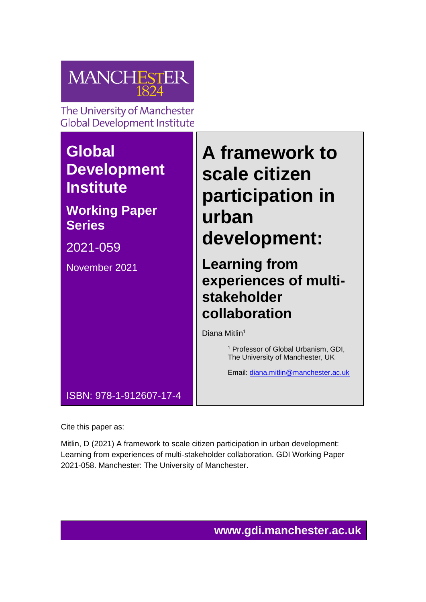

The University of Manchester **Global Development Institute** 

# **Global Development Institute**

# **Working Paper Series**

2021-059

November 2021

# **A framework to scale citizen participation in urban development:**

**Learning from experiences of multistakeholder collaboration**

Diana Mitlin<sup>1</sup>

<sup>1</sup> Professor of Global Urbanism, GDI, The University of Manchester, UK

Email: [diana.mitlin@manchester.ac.uk](mailto:diana.mitlin@manchester.ac.uk)

ISBN: 978-1-912607-17-4

Cite this paper as:

Mitlin, D (2021) A framework to scale citizen participation in urban development: Learning from experiences of multi-stakeholder collaboration. GDI Working Paper 2021-058. Manchester: The University of Manchester.

**www.gdi.manchester.ac.uk**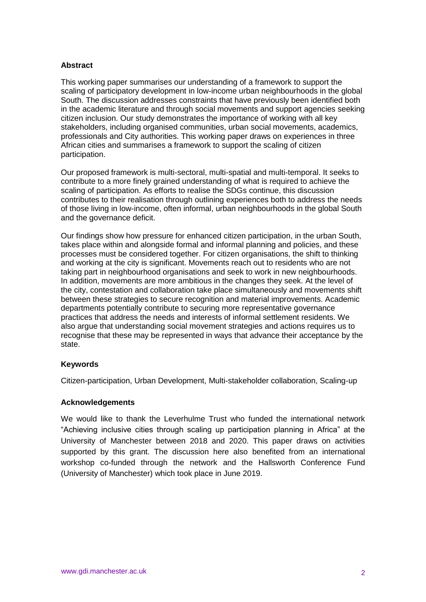#### **Abstract**

This working paper summarises our understanding of a framework to support the scaling of participatory development in low-income urban neighbourhoods in the global South. The discussion addresses constraints that have previously been identified both in the academic literature and through social movements and support agencies seeking citizen inclusion. Our study demonstrates the importance of working with all key stakeholders, including organised communities, urban social movements, academics, professionals and City authorities. This working paper draws on experiences in three African cities and summarises a framework to support the scaling of citizen participation.

Our proposed framework is multi-sectoral, multi-spatial and multi-temporal. It seeks to contribute to a more finely grained understanding of what is required to achieve the scaling of participation. As efforts to realise the SDGs continue, this discussion contributes to their realisation through outlining experiences both to address the needs of those living in low-income, often informal, urban neighbourhoods in the global South and the governance deficit.

Our findings show how pressure for enhanced citizen participation, in the urban South, takes place within and alongside formal and informal planning and policies, and these processes must be considered together. For citizen organisations, the shift to thinking and working at the city is significant. Movements reach out to residents who are not taking part in neighbourhood organisations and seek to work in new neighbourhoods. In addition, movements are more ambitious in the changes they seek. At the level of the city, contestation and collaboration take place simultaneously and movements shift between these strategies to secure recognition and material improvements. Academic departments potentially contribute to securing more representative governance practices that address the needs and interests of informal settlement residents. We also argue that understanding social movement strategies and actions requires us to recognise that these may be represented in ways that advance their acceptance by the state.

#### **Keywords**

Citizen-participation, Urban Development, Multi-stakeholder collaboration, Scaling-up

#### **Acknowledgements**

We would like to thank the Leverhulme Trust who funded the international network "Achieving inclusive cities through scaling up participation planning in Africa" at the University of Manchester between 2018 and 2020. This paper draws on activities supported by this grant. The discussion here also benefited from an international workshop co-funded through the network and the Hallsworth Conference Fund (University of Manchester) which took place in June 2019.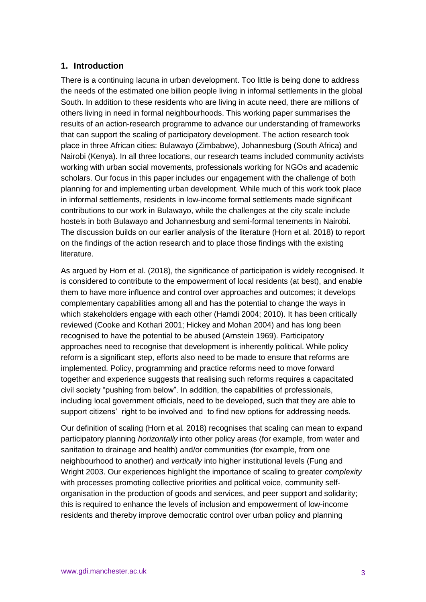#### **1. Introduction**

There is a continuing lacuna in urban development. Too little is being done to address the needs of the estimated one billion people living in informal settlements in the global South. In addition to these residents who are living in acute need, there are millions of others living in need in formal neighbourhoods. This working paper summarises the results of an action-research programme to advance our understanding of frameworks that can support the scaling of participatory development. The action research took place in three African cities: Bulawayo (Zimbabwe), Johannesburg (South Africa) and Nairobi (Kenya). In all three locations, our research teams included community activists working with urban social movements, professionals working for NGOs and academic scholars. Our focus in this paper includes our engagement with the challenge of both planning for and implementing urban development. While much of this work took place in informal settlements, residents in low-income formal settlements made significant contributions to our work in Bulawayo, while the challenges at the city scale include hostels in both Bulawayo and Johannesburg and semi-formal tenements in Nairobi. The discussion builds on our earlier analysis of the literature (Horn et al. 2018) to report on the findings of the action research and to place those findings with the existing literature.

As argued by Horn et al. (2018), the significance of participation is widely recognised. It is considered to contribute to the empowerment of local residents (at best), and enable them to have more influence and control over approaches and outcomes; it develops complementary capabilities among all and has the potential to change the ways in which stakeholders engage with each other (Hamdi 2004; 2010). It has been critically reviewed (Cooke and Kothari 2001; Hickey and Mohan 2004) and has long been recognised to have the potential to be abused (Arnstein 1969). Participatory approaches need to recognise that development is inherently political. While policy reform is a significant step, efforts also need to be made to ensure that reforms are implemented. Policy, programming and practice reforms need to move forward together and experience suggests that realising such reforms requires a capacitated civil society "pushing from below". In addition, the capabilities of professionals, including local government officials, need to be developed, such that they are able to support citizens' right to be involved and to find new options for addressing needs.

Our definition of scaling (Horn et al*.* 2018) recognises that scaling can mean to expand participatory planning *horizontally* into other policy areas (for example, from water and sanitation to drainage and health) and/or communities (for example, from one neighbourhood to another) and *vertically* into higher institutional levels (Fung and Wright 2003. Our experiences highlight the importance of scaling to greater *complexity* with processes promoting collective priorities and political voice, community selforganisation in the production of goods and services, and peer support and solidarity; this is required to enhance the levels of inclusion and empowerment of low-income residents and thereby improve democratic control over urban policy and planning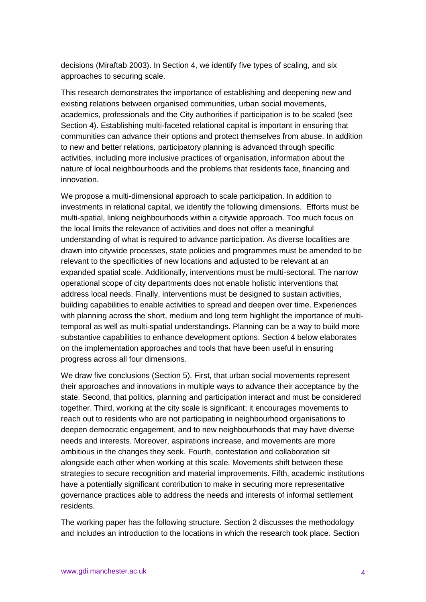decisions (Miraftab 2003). In Section 4, we identify five types of scaling, and six approaches to securing scale.

This research demonstrates the importance of establishing and deepening new and existing relations between organised communities, urban social movements, academics, professionals and the City authorities if participation is to be scaled (see Section 4). Establishing multi-faceted relational capital is important in ensuring that communities can advance their options and protect themselves from abuse. In addition to new and better relations, participatory planning is advanced through specific activities, including more inclusive practices of organisation, information about the nature of local neighbourhoods and the problems that residents face, financing and innovation.

We propose a multi-dimensional approach to scale participation. In addition to investments in relational capital, we identify the following dimensions. Efforts must be multi-spatial, linking neighbourhoods within a citywide approach. Too much focus on the local limits the relevance of activities and does not offer a meaningful understanding of what is required to advance participation. As diverse localities are drawn into citywide processes, state policies and programmes must be amended to be relevant to the specificities of new locations and adjusted to be relevant at an expanded spatial scale. Additionally, interventions must be multi-sectoral. The narrow operational scope of city departments does not enable holistic interventions that address local needs. Finally, interventions must be designed to sustain activities, building capabilities to enable activities to spread and deepen over time. Experiences with planning across the short, medium and long term highlight the importance of multitemporal as well as multi-spatial understandings. Planning can be a way to build more substantive capabilities to enhance development options. Section 4 below elaborates on the implementation approaches and tools that have been useful in ensuring progress across all four dimensions.

We draw five conclusions (Section 5). First, that urban social movements represent their approaches and innovations in multiple ways to advance their acceptance by the state. Second, that politics, planning and participation interact and must be considered together. Third, working at the city scale is significant; it encourages movements to reach out to residents who are not participating in neighbourhood organisations to deepen democratic engagement, and to new neighbourhoods that may have diverse needs and interests. Moreover, aspirations increase, and movements are more ambitious in the changes they seek. Fourth, contestation and collaboration sit alongside each other when working at this scale. Movements shift between these strategies to secure recognition and material improvements. Fifth, academic institutions have a potentially significant contribution to make in securing more representative governance practices able to address the needs and interests of informal settlement residents.

The working paper has the following structure. Section 2 discusses the methodology and includes an introduction to the locations in which the research took place. Section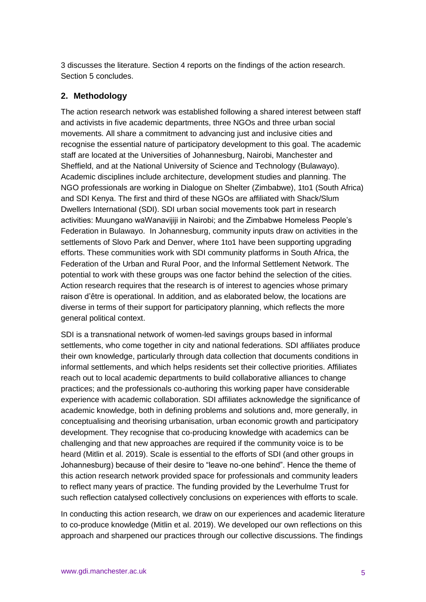3 discusses the literature. Section 4 reports on the findings of the action research. Section 5 concludes.

# **2. Methodology**

The action research network was established following a shared interest between staff and activists in five academic departments, three NGOs and three urban social movements. All share a commitment to advancing just and inclusive cities and recognise the essential nature of participatory development to this goal. The academic staff are located at the Universities of Johannesburg, Nairobi, Manchester and Sheffield, and at the National University of Science and Technology (Bulawayo). Academic disciplines include architecture, development studies and planning. The NGO professionals are working in Dialogue on Shelter (Zimbabwe), 1to1 (South Africa) and SDI Kenya. The first and third of these NGOs are affiliated with Shack/Slum Dwellers International (SDI). SDI urban social movements took part in research activities: Muungano waWanavijiji in Nairobi; and the Zimbabwe Homeless People's Federation in Bulawayo. In Johannesburg, community inputs draw on activities in the settlements of Slovo Park and Denver, where 1to1 have been supporting upgrading efforts. These communities work with SDI community platforms in South Africa, the Federation of the Urban and Rural Poor, and the Informal Settlement Network. The potential to work with these groups was one factor behind the selection of the cities. Action research requires that the research is of interest to agencies whose primary raison d'être is operational. In addition, and as elaborated below, the locations are diverse in terms of their support for participatory planning, which reflects the more general political context.

SDI is a transnational network of women-led savings groups based in informal settlements, who come together in city and national federations. SDI affiliates produce their own knowledge, particularly through data collection that documents conditions in informal settlements, and which helps residents set their collective priorities. Affiliates reach out to local academic departments to build collaborative alliances to change practices; and the professionals co-authoring this working paper have considerable experience with academic collaboration. SDI affiliates acknowledge the significance of academic knowledge, both in defining problems and solutions and, more generally, in conceptualising and theorising urbanisation, urban economic growth and participatory development. They recognise that co-producing knowledge with academics can be challenging and that new approaches are required if the community voice is to be heard (Mitlin et al. 2019). Scale is essential to the efforts of SDI (and other groups in Johannesburg) because of their desire to "leave no-one behind". Hence the theme of this action research network provided space for professionals and community leaders to reflect many years of practice. The funding provided by the Leverhulme Trust for such reflection catalysed collectively conclusions on experiences with efforts to scale.

In conducting this action research, we draw on our experiences and academic literature to co-produce knowledge (Mitlin et al. 2019). We developed our own reflections on this approach and sharpened our practices through our collective discussions. The findings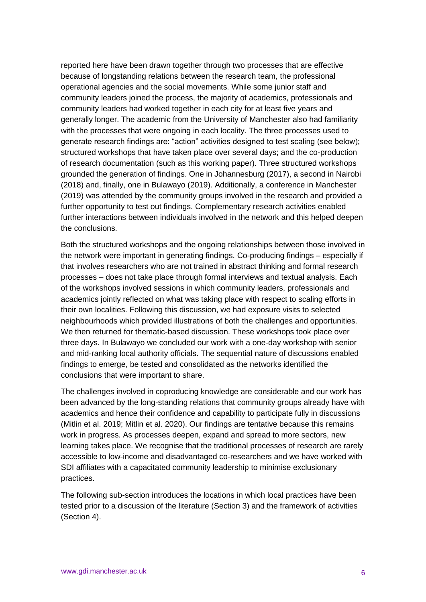reported here have been drawn together through two processes that are effective because of longstanding relations between the research team, the professional operational agencies and the social movements. While some junior staff and community leaders joined the process, the majority of academics, professionals and community leaders had worked together in each city for at least five years and generally longer. The academic from the University of Manchester also had familiarity with the processes that were ongoing in each locality. The three processes used to generate research findings are: "action" activities designed to test scaling (see below); structured workshops that have taken place over several days; and the co-production of research documentation (such as this working paper). Three structured workshops grounded the generation of findings. One in Johannesburg (2017), a second in Nairobi (2018) and, finally, one in Bulawayo (2019). Additionally, a conference in Manchester (2019) was attended by the community groups involved in the research and provided a further opportunity to test out findings. Complementary research activities enabled further interactions between individuals involved in the network and this helped deepen the conclusions.

Both the structured workshops and the ongoing relationships between those involved in the network were important in generating findings. Co-producing findings – especially if that involves researchers who are not trained in abstract thinking and formal research processes – does not take place through formal interviews and textual analysis. Each of the workshops involved sessions in which community leaders, professionals and academics jointly reflected on what was taking place with respect to scaling efforts in their own localities. Following this discussion, we had exposure visits to selected neighbourhoods which provided illustrations of both the challenges and opportunities. We then returned for thematic-based discussion. These workshops took place over three days. In Bulawayo we concluded our work with a one-day workshop with senior and mid-ranking local authority officials. The sequential nature of discussions enabled findings to emerge, be tested and consolidated as the networks identified the conclusions that were important to share.

The challenges involved in coproducing knowledge are considerable and our work has been advanced by the long-standing relations that community groups already have with academics and hence their confidence and capability to participate fully in discussions (Mitlin et al. 2019; Mitlin et al. 2020). Our findings are tentative because this remains work in progress. As processes deepen, expand and spread to more sectors, new learning takes place. We recognise that the traditional processes of research are rarely accessible to low-income and disadvantaged co-researchers and we have worked with SDI affiliates with a capacitated community leadership to minimise exclusionary practices.

The following sub-section introduces the locations in which local practices have been tested prior to a discussion of the literature (Section 3) and the framework of activities (Section 4).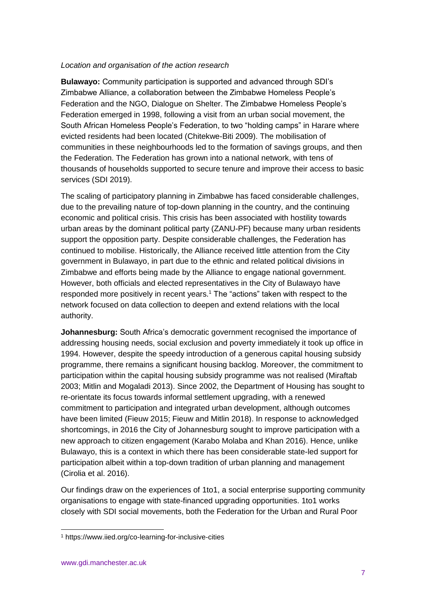#### *Location and organisation of the action research*

**Bulawayo:** Community participation is supported and advanced through SDI's Zimbabwe Alliance, a collaboration between the Zimbabwe Homeless People's Federation and the NGO, Dialogue on Shelter. The Zimbabwe Homeless People's Federation emerged in 1998, following a visit from an urban social movement, the South African Homeless People's Federation, to two "holding camps" in Harare where evicted residents had been located (Chitekwe-Biti 2009). The mobilisation of communities in these neighbourhoods led to the formation of savings groups, and then the Federation. The Federation has grown into a national network, with tens of thousands of households supported to secure tenure and improve their access to basic services (SDI 2019).

The scaling of participatory planning in Zimbabwe has faced considerable challenges, due to the prevailing nature of top-down planning in the country, and the continuing economic and political crisis. This crisis has been associated with hostility towards urban areas by the dominant political party (ZANU-PF) because many urban residents support the opposition party. Despite considerable challenges, the Federation has continued to mobilise. Historically, the Alliance received little attention from the City government in Bulawayo, in part due to the ethnic and related political divisions in Zimbabwe and efforts being made by the Alliance to engage national government. However, both officials and elected representatives in the City of Bulawayo have responded more positively in recent years. <sup>1</sup> The "actions" taken with respect to the network focused on data collection to deepen and extend relations with the local authority.

**Johannesburg:** South Africa's democratic government recognised the importance of addressing housing needs, social exclusion and poverty immediately it took up office in 1994. However, despite the speedy introduction of a generous capital housing subsidy programme, there remains a significant housing backlog. Moreover, the commitment to participation within the capital housing subsidy programme was not realised (Miraftab 2003; Mitlin and Mogaladi 2013). Since 2002, the Department of Housing has sought to re-orientate its focus towards informal settlement upgrading, with a renewed commitment to participation and integrated urban development, although outcomes have been limited (Fieuw 2015; Fieuw and Mitlin 2018). In response to acknowledged shortcomings, in 2016 the City of Johannesburg sought to improve participation with a new approach to citizen engagement (Karabo Molaba and Khan 2016). Hence, unlike Bulawayo, this is a context in which there has been considerable state-led support for participation albeit within a top-down tradition of urban planning and management (Cirolia et al. 2016).

Our findings draw on the experiences of 1to1, a social enterprise supporting community organisations to engage with state-financed upgrading opportunities. 1to1 works closely with SDI social movements, both the Federation for the Urban and Rural Poor

<sup>1</sup> https://www.iied.org/co-learning-for-inclusive-cities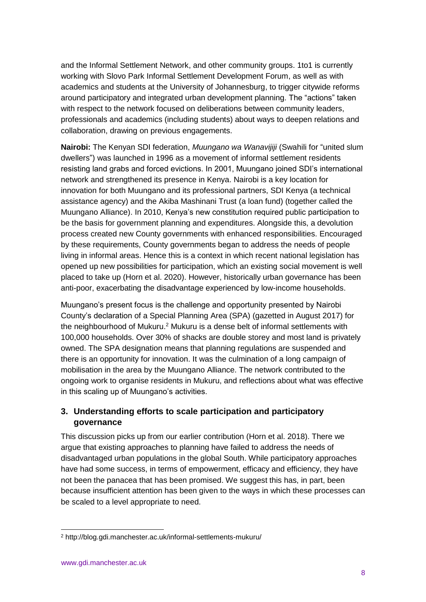and the Informal Settlement Network, and other community groups. 1to1 is currently working with Slovo Park Informal Settlement Development Forum, as well as with academics and students at the University of Johannesburg, to trigger citywide reforms around participatory and integrated urban development planning. The "actions" taken with respect to the network focused on deliberations between community leaders, professionals and academics (including students) about ways to deepen relations and collaboration, drawing on previous engagements.

**Nairobi:** The Kenyan SDI federation, *Muungano wa Wanavijiji* (Swahili for "united slum dwellers") was launched in 1996 as a movement of informal settlement residents resisting land grabs and forced evictions. In 2001, Muungano joined SDI's international network and strengthened its presence in Kenya. Nairobi is a key location for innovation for both Muungano and its professional partners, SDI Kenya (a technical assistance agency) and the Akiba Mashinani Trust (a loan fund) (together called the Muungano Alliance). In 2010, Kenya's new constitution required public participation to be the basis for government planning and expenditures. Alongside this, a devolution process created new County governments with enhanced responsibilities. Encouraged by these requirements, County governments began to address the needs of people living in informal areas. Hence this is a context in which recent national legislation has opened up new possibilities for participation, which an existing social movement is well placed to take up (Horn et al. 2020). However, historically urban governance has been anti-poor, exacerbating the disadvantage experienced by low-income households.

Muungano's present focus is the challenge and opportunity presented by Nairobi County's declaration of a Special Planning Area (SPA) (gazetted in August 2017) for the neighbourhood of Mukuru.<sup>2</sup> Mukuru is a dense belt of informal settlements with 100,000 households. Over 30% of shacks are double storey and most land is privately owned. The SPA designation means that planning regulations are suspended and there is an opportunity for innovation. It was the culmination of a long campaign of mobilisation in the area by the Muungano Alliance. The network contributed to the ongoing work to organise residents in Mukuru, and reflections about what was effective in this scaling up of Muungano's activities.

# **3. Understanding efforts to scale participation and participatory governance**

This discussion picks up from our earlier contribution (Horn et al. 2018). There we argue that existing approaches to planning have failed to address the needs of disadvantaged urban populations in the global South. While participatory approaches have had some success, in terms of empowerment, efficacy and efficiency, they have not been the panacea that has been promised. We suggest this has, in part, been because insufficient attention has been given to the ways in which these processes can be scaled to a level appropriate to need.

<sup>2</sup> http://blog.gdi.manchester.ac.uk/informal-settlements-mukuru/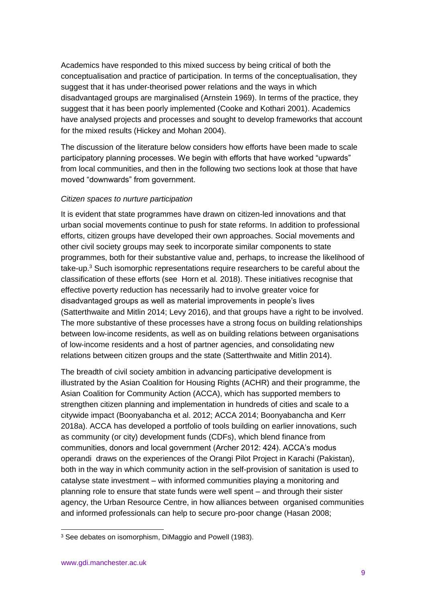Academics have responded to this mixed success by being critical of both the conceptualisation and practice of participation. In terms of the conceptualisation, they suggest that it has under-theorised power relations and the ways in which disadvantaged groups are marginalised (Arnstein 1969). In terms of the practice, they suggest that it has been poorly implemented (Cooke and Kothari 2001). Academics have analysed projects and processes and sought to develop frameworks that account for the mixed results (Hickey and Mohan 2004).

The discussion of the literature below considers how efforts have been made to scale participatory planning processes. We begin with efforts that have worked "upwards" from local communities, and then in the following two sections look at those that have moved "downwards" from government.

#### *Citizen spaces to nurture participation*

It is evident that state programmes have drawn on citizen-led innovations and that urban social movements continue to push for state reforms. In addition to professional efforts, citizen groups have developed their own approaches. Social movements and other civil society groups may seek to incorporate similar components to state programmes, both for their substantive value and, perhaps, to increase the likelihood of take-up. $3$  Such isomorphic representations require researchers to be careful about the classification of these efforts (see Horn et al*.* 2018). These initiatives recognise that effective poverty reduction has necessarily had to involve greater voice for disadvantaged groups as well as material improvements in people's lives (Satterthwaite and Mitlin 2014; Levy 2016), and that groups have a right to be involved. The more substantive of these processes have a strong focus on building relationships between low-income residents, as well as on building relations between organisations of low-income residents and a host of partner agencies, and consolidating new relations between citizen groups and the state (Satterthwaite and Mitlin 2014).

The breadth of civil society ambition in advancing participative development is illustrated by the Asian Coalition for Housing Rights (ACHR) and their programme, the Asian Coalition for Community Action (ACCA), which has supported members to strengthen citizen planning and implementation in hundreds of cities and scale to a citywide impact (Boonyabancha et al. 2012; ACCA 2014; Boonyabancha and Kerr 2018a). ACCA has developed a portfolio of tools building on earlier innovations, such as community (or city) development funds (CDFs), which blend finance from communities, donors and local government (Archer 2012: 424). ACCA's modus operandi draws on the experiences of the Orangi Pilot Project in Karachi (Pakistan), both in the way in which community action in the self-provision of sanitation is used to catalyse state investment – with informed communities playing a monitoring and planning role to ensure that state funds were well spent – and through their sister agency, the Urban Resource Centre, in how alliances between organised communities and informed professionals can help to secure pro-poor change (Hasan 2008;

<sup>&</sup>lt;sup>3</sup> See debates on isomorphism, DiMaggio and Powell (1983).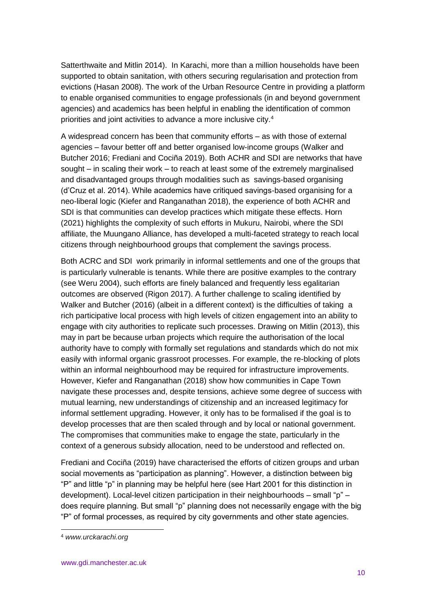Satterthwaite and Mitlin 2014). In Karachi, more than a million households have been supported to obtain sanitation, with others securing regularisation and protection from evictions (Hasan 2008). The work of the Urban Resource Centre in providing a platform to enable organised communities to engage professionals (in and beyond government agencies) and academics has been helpful in enabling the identification of common priorities and joint activities to advance a more inclusive city.<sup>4</sup>

A widespread concern has been that community efforts – as with those of external agencies – favour better off and better organised low-income groups (Walker and Butcher 2016; Frediani and Cociña 2019). Both ACHR and SDI are networks that have sought – in scaling their work – to reach at least some of the extremely marginalised and disadvantaged groups through modalities such as savings-based organising (d'Cruz et al. 2014). While academics have critiqued savings-based organising for a neo-liberal logic (Kiefer and Ranganathan 2018), the experience of both ACHR and SDI is that communities can develop practices which mitigate these effects. Horn (2021) highlights the complexity of such efforts in Mukuru, Nairobi, where the SDI affiliate, the Muungano Alliance, has developed a multi-faceted strategy to reach local citizens through neighbourhood groups that complement the savings process.

Both ACRC and SDI work primarily in informal settlements and one of the groups that is particularly vulnerable is tenants. While there are positive examples to the contrary (see Weru 2004), such efforts are finely balanced and frequently less egalitarian outcomes are observed (Rigon 2017). A further challenge to scaling identified by Walker and Butcher (2016) (albeit in a different context) is the difficulties of taking a rich participative local process with high levels of citizen engagement into an ability to engage with city authorities to replicate such processes. Drawing on Mitlin (2013), this may in part be because urban projects which require the authorisation of the local authority have to comply with formally set regulations and standards which do not mix easily with informal organic grassroot processes. For example, the re-blocking of plots within an informal neighbourhood may be required for infrastructure improvements. However, Kiefer and Ranganathan (2018) show how communities in Cape Town navigate these processes and, despite tensions, achieve some degree of success with mutual learning, new understandings of citizenship and an increased legitimacy for informal settlement upgrading. However, it only has to be formalised if the goal is to develop processes that are then scaled through and by local or national government. The compromises that communities make to engage the state, particularly in the context of a generous subsidy allocation, need to be understood and reflected on.

Frediani and Cociña (2019) have characterised the efforts of citizen groups and urban social movements as "participation as planning". However, a distinction between big "P" and little "p" in planning may be helpful here (see Hart 2001 for this distinction in development). Local-level citizen participation in their neighbourhoods – small "p" – does require planning. But small "p" planning does not necessarily engage with the big "P" of formal processes, as required by city governments and other state agencies.

<sup>4</sup> *www.urckarachi.org*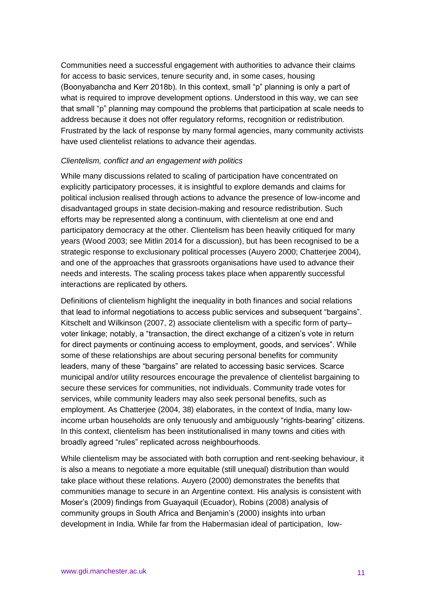Communities need a successful engagement with authorities to advance their claims for access to basic services, tenure security and, in some cases, housing (Boonyabancha and Kerr 2018b). In this context, small "p" planning is only a part of what is required to improve development options. Understood in this way, we can see that small "p" planning may compound the problems that participation at scale needs to address because it does not offer regulatory reforms, recognition or redistribution. Frustrated by the lack of response by many formal agencies, many community activists have used clientelist relations to advance their agendas.

#### *Clientelism, conflict and an engagement with politics*

While many discussions related to scaling of participation have concentrated on explicitly participatory processes, it is insightful to explore demands and claims for political inclusion realised through actions to advance the presence of low-income and disadvantaged groups in state decision-making and resource redistribution. Such efforts may be represented along a continuum, with clientelism at one end and participatory democracy at the other. Clientelism has been heavily critiqued for many years (Wood 2003; see Mitlin 2014 for a discussion), but has been recognised to be a strategic response to exclusionary political processes (Auyero 2000; Chatterjee 2004), and one of the approaches that grassroots organisations have used to advance their needs and interests. The scaling process takes place when apparently successful interactions are replicated by others.

Definitions of clientelism highlight the inequality in both finances and social relations that lead to informal negotiations to access public services and subsequent "bargains". Kitschelt and Wilkinson (2007, 2) associate clientelism with a specific form of party– voter linkage; notably, a "transaction, the direct exchange of a citizen's vote in return for direct payments or continuing access to employment, goods, and services". While some of these relationships are about securing personal benefits for community leaders, many of these "bargains" are related to accessing basic services. Scarce municipal and/or utility resources encourage the prevalence of clientelist bargaining to secure these services for communities, not individuals. Community trade votes for services, while community leaders may also seek personal benefits, such as employment. As Chatterjee (2004, 38) elaborates, in the context of India, many lowincome urban households are only tenuously and ambiguously "rights-bearing" citizens. In this context, clientelism has been institutionalised in many towns and cities with broadly agreed "rules" replicated across neighbourhoods.

While clientelism may be associated with both corruption and rent-seeking behaviour, it is also a means to negotiate a more equitable (still unequal) distribution than would take place without these relations. Auyero (2000) demonstrates the benefits that communities manage to secure in an Argentine context. His analysis is consistent with Moser's (2009) findings from Guayaquil (Ecuador), Robins (2008) analysis of community groups in South Africa and Benjamin's (2000) insights into urban development in India. While far from the Habermasian ideal of participation, low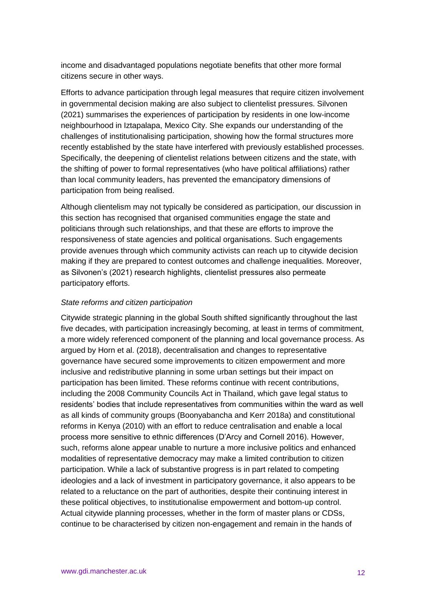income and disadvantaged populations negotiate benefits that other more formal citizens secure in other ways.

Efforts to advance participation through legal measures that require citizen involvement in governmental decision making are also subject to clientelist pressures. Silvonen (2021) summarises the experiences of participation by residents in one low-income neighbourhood in Iztapalapa, Mexico City. She expands our understanding of the challenges of institutionalising participation, showing how the formal structures more recently established by the state have interfered with previously established processes. Specifically, the deepening of clientelist relations between citizens and the state, with the shifting of power to formal representatives (who have political affiliations) rather than local community leaders, has prevented the emancipatory dimensions of participation from being realised.

Although clientelism may not typically be considered as participation, our discussion in this section has recognised that organised communities engage the state and politicians through such relationships, and that these are efforts to improve the responsiveness of state agencies and political organisations. Such engagements provide avenues through which community activists can reach up to citywide decision making if they are prepared to contest outcomes and challenge inequalities. Moreover, as Silvonen's (2021) research highlights, clientelist pressures also permeate participatory efforts.

#### *State reforms and citizen participation*

Citywide strategic planning in the global South shifted significantly throughout the last five decades, with participation increasingly becoming, at least in terms of commitment, a more widely referenced component of the planning and local governance process. As argued by Horn et al. (2018), decentralisation and changes to representative governance have secured some improvements to citizen empowerment and more inclusive and redistributive planning in some urban settings but their impact on participation has been limited. These reforms continue with recent contributions, including the 2008 Community Councils Act in Thailand, which gave legal status to residents' bodies that include representatives from communities within the ward as well as all kinds of community groups (Boonyabancha and Kerr 2018a) and constitutional reforms in Kenya (2010) with an effort to reduce centralisation and enable a local process more sensitive to ethnic differences (D'Arcy and Cornell 2016). However, such, reforms alone appear unable to nurture a more inclusive politics and enhanced modalities of representative democracy may make a limited contribution to citizen participation. While a lack of substantive progress is in part related to competing ideologies and a lack of investment in participatory governance, it also appears to be related to a reluctance on the part of authorities, despite their continuing interest in these political objectives, to institutionalise empowerment and bottom-up control. Actual citywide planning processes, whether in the form of master plans or CDSs, continue to be characterised by citizen non-engagement and remain in the hands of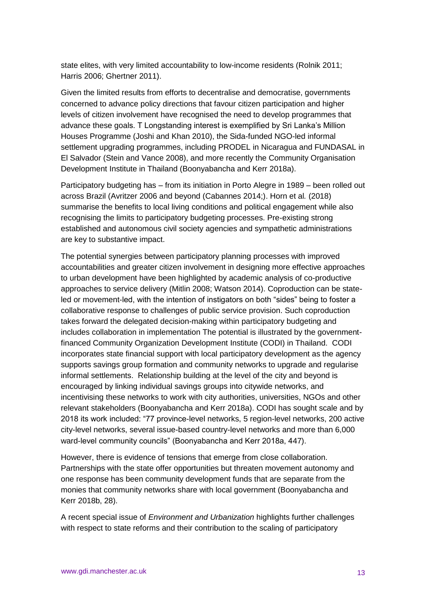state elites, with very limited accountability to low-income residents (Rolnik 2011; Harris 2006; Ghertner 2011).

Given the limited results from efforts to decentralise and democratise, governments concerned to advance policy directions that favour citizen participation and higher levels of citizen involvement have recognised the need to develop programmes that advance these goals. T Longstanding interest is exemplified by Sri Lanka's Million Houses Programme (Joshi and Khan 2010), the Sida-funded NGO-led informal settlement upgrading programmes, including PRODEL in Nicaragua and FUNDASAL in El Salvador (Stein and Vance 2008), and more recently the Community Organisation Development Institute in Thailand (Boonyabancha and Kerr 2018a).

Participatory budgeting has – from its initiation in Porto Alegre in 1989 – been rolled out across Brazil (Avritzer 2006 and beyond (Cabannes 2014;). Horn et al*.* (2018) summarise the benefits to local living conditions and political engagement while also recognising the limits to participatory budgeting processes. Pre-existing strong established and autonomous civil society agencies and sympathetic administrations are key to substantive impact.

The potential synergies between participatory planning processes with improved accountabilities and greater citizen involvement in designing more effective approaches to urban development have been highlighted by academic analysis of co-productive approaches to service delivery (Mitlin 2008; Watson 2014). Coproduction can be stateled or movement-led, with the intention of instigators on both "sides" being to foster a collaborative response to challenges of public service provision. Such coproduction takes forward the delegated decision-making within participatory budgeting and includes collaboration in implementation The potential is illustrated by the governmentfinanced Community Organization Development Institute (CODI) in Thailand. CODI incorporates state financial support with local participatory development as the agency supports savings group formation and community networks to upgrade and regularise informal settlements. Relationship building at the level of the city and beyond is encouraged by linking individual savings groups into citywide networks, and incentivising these networks to work with city authorities, universities, NGOs and other relevant stakeholders (Boonyabancha and Kerr 2018a). CODI has sought scale and by 2018 its work included: "77 province-level networks, 5 region-level networks, 200 active city-level networks, several issue-based country-level networks and more than 6,000 ward-level community councils" (Boonyabancha and Kerr 2018a, 447).

However, there is evidence of tensions that emerge from close collaboration. Partnerships with the state offer opportunities but threaten movement autonomy and one response has been community development funds that are separate from the monies that community networks share with local government (Boonyabancha and Kerr 2018b, 28).

A recent special issue of *Environment and Urbanization* highlights further challenges with respect to state reforms and their contribution to the scaling of participatory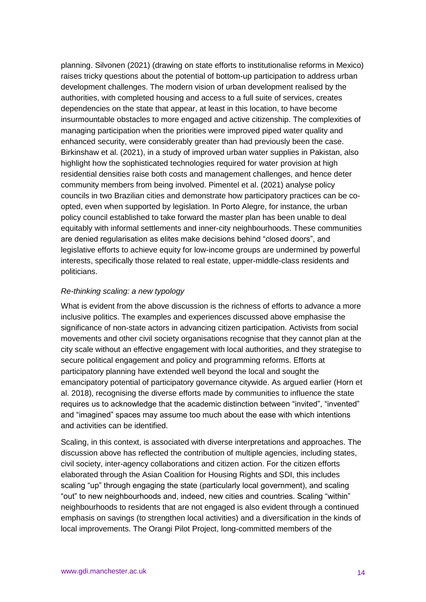planning. Silvonen (2021) (drawing on state efforts to institutionalise reforms in Mexico) raises tricky questions about the potential of bottom-up participation to address urban development challenges. The modern vision of urban development realised by the authorities, with completed housing and access to a full suite of services, creates dependencies on the state that appear, at least in this location, to have become insurmountable obstacles to more engaged and active citizenship. The complexities of managing participation when the priorities were improved piped water quality and enhanced security, were considerably greater than had previously been the case. Birkinshaw et al. (2021), in a study of improved urban water supplies in Pakistan, also highlight how the sophisticated technologies required for water provision at high residential densities raise both costs and management challenges, and hence deter community members from being involved. Pimentel et al. (2021) analyse policy councils in two Brazilian cities and demonstrate how participatory practices can be coopted, even when supported by legislation. In Porto Alegre, for instance, the urban policy council established to take forward the master plan has been unable to deal equitably with informal settlements and inner-city neighbourhoods. These communities are denied regularisation as elites make decisions behind "closed doors", and legislative efforts to achieve equity for low-income groups are undermined by powerful interests, specifically those related to real estate, upper-middle-class residents and politicians.

#### *Re-thinking scaling: a new typology*

What is evident from the above discussion is the richness of efforts to advance a more inclusive politics. The examples and experiences discussed above emphasise the significance of non-state actors in advancing citizen participation. Activists from social movements and other civil society organisations recognise that they cannot plan at the city scale without an effective engagement with local authorities, and they strategise to secure political engagement and policy and programming reforms. Efforts at participatory planning have extended well beyond the local and sought the emancipatory potential of participatory governance citywide. As argued earlier (Horn et al. 2018), recognising the diverse efforts made by communities to influence the state requires us to acknowledge that the academic distinction between "invited", "invented" and "imagined" spaces may assume too much about the ease with which intentions and activities can be identified.

Scaling, in this context, is associated with diverse interpretations and approaches. The discussion above has reflected the contribution of multiple agencies, including states, civil society, inter-agency collaborations and citizen action. For the citizen efforts elaborated through the Asian Coalition for Housing Rights and SDI, this includes scaling "up" through engaging the state (particularly local government), and scaling "out" to new neighbourhoods and, indeed, new cities and countries. Scaling "within" neighbourhoods to residents that are not engaged is also evident through a continued emphasis on savings (to strengthen local activities) and a diversification in the kinds of local improvements. The Orangi Pilot Project, long-committed members of the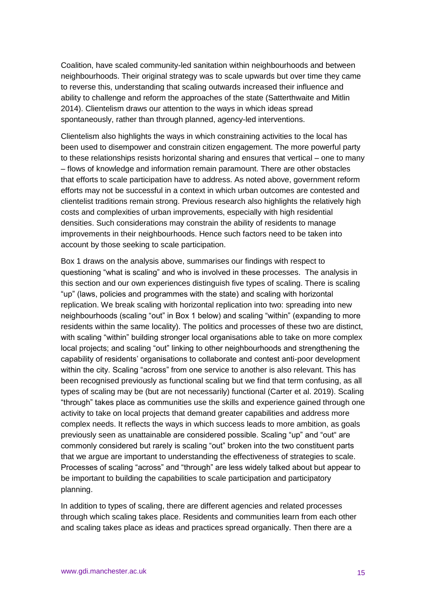Coalition, have scaled community-led sanitation within neighbourhoods and between neighbourhoods. Their original strategy was to scale upwards but over time they came to reverse this, understanding that scaling outwards increased their influence and ability to challenge and reform the approaches of the state (Satterthwaite and Mitlin 2014). Clientelism draws our attention to the ways in which ideas spread spontaneously, rather than through planned, agency-led interventions.

Clientelism also highlights the ways in which constraining activities to the local has been used to disempower and constrain citizen engagement. The more powerful party to these relationships resists horizontal sharing and ensures that vertical – one to many – flows of knowledge and information remain paramount. There are other obstacles that efforts to scale participation have to address. As noted above, government reform efforts may not be successful in a context in which urban outcomes are contested and clientelist traditions remain strong. Previous research also highlights the relatively high costs and complexities of urban improvements, especially with high residential densities. Such considerations may constrain the ability of residents to manage improvements in their neighbourhoods. Hence such factors need to be taken into account by those seeking to scale participation.

Box 1 draws on the analysis above, summarises our findings with respect to questioning "what is scaling" and who is involved in these processes. The analysis in this section and our own experiences distinguish five types of scaling. There is scaling "up" (laws, policies and programmes with the state) and scaling with horizontal replication. We break scaling with horizontal replication into two: spreading into new neighbourhoods (scaling "out" in Box 1 below) and scaling "within" (expanding to more residents within the same locality). The politics and processes of these two are distinct, with scaling "within" building stronger local organisations able to take on more complex local projects; and scaling "out" linking to other neighbourhoods and strengthening the capability of residents' organisations to collaborate and contest anti-poor development within the city. Scaling "across" from one service to another is also relevant. This has been recognised previously as functional scaling but we find that term confusing, as all types of scaling may be (but are not necessarily) functional (Carter et al. 2019). Scaling "through" takes place as communities use the skills and experience gained through one activity to take on local projects that demand greater capabilities and address more complex needs. It reflects the ways in which success leads to more ambition, as goals previously seen as unattainable are considered possible. Scaling "up" and "out" are commonly considered but rarely is scaling "out" broken into the two constituent parts that we argue are important to understanding the effectiveness of strategies to scale. Processes of scaling "across" and "through" are less widely talked about but appear to be important to building the capabilities to scale participation and participatory planning.

In addition to types of scaling, there are different agencies and related processes through which scaling takes place. Residents and communities learn from each other and scaling takes place as ideas and practices spread organically. Then there are a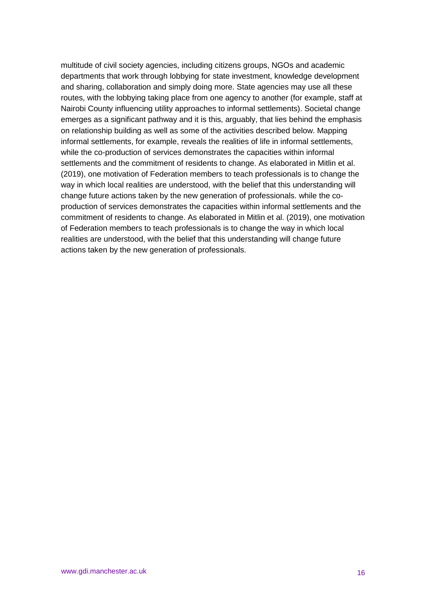multitude of civil society agencies, including citizens groups, NGOs and academic departments that work through lobbying for state investment, knowledge development and sharing, collaboration and simply doing more. State agencies may use all these routes, with the lobbying taking place from one agency to another (for example, staff at Nairobi County influencing utility approaches to informal settlements). Societal change emerges as a significant pathway and it is this, arguably, that lies behind the emphasis on relationship building as well as some of the activities described below. Mapping informal settlements, for example, reveals the realities of life in informal settlements, while the co-production of services demonstrates the capacities within informal settlements and the commitment of residents to change. As elaborated in Mitlin et al. (2019), one motivation of Federation members to teach professionals is to change the way in which local realities are understood, with the belief that this understanding will change future actions taken by the new generation of professionals. while the coproduction of services demonstrates the capacities within informal settlements and the commitment of residents to change. As elaborated in Mitlin et al. (2019), one motivation of Federation members to teach professionals is to change the way in which local realities are understood, with the belief that this understanding will change future actions taken by the new generation of professionals.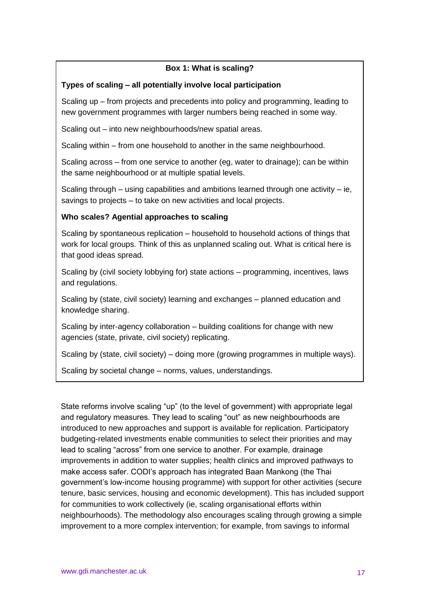#### **Box 1: What is scaling?**

#### **Types of scaling – all potentially involve local participation**

Scaling up – from projects and precedents into policy and programming, leading to new government programmes with larger numbers being reached in some way.

Scaling out – into new neighbourhoods/new spatial areas.

Scaling within – from one household to another in the same neighbourhood.

Scaling across – from one service to another (eg, water to drainage); can be within the same neighbourhood or at multiple spatial levels.

Scaling through – using capabilities and ambitions learned through one activity – ie, savings to projects – to take on new activities and local projects.

#### **Who scales? Agential approaches to scaling**

Scaling by spontaneous replication – household to household actions of things that work for local groups. Think of this as unplanned scaling out. What is critical here is that good ideas spread.

Scaling by (civil society lobbying for) state actions – programming, incentives, laws and regulations.

Scaling by (state, civil society) learning and exchanges – planned education and knowledge sharing.

Scaling by inter-agency collaboration – building coalitions for change with new agencies (state, private, civil society) replicating.

Scaling by (state, civil society) – doing more (growing programmes in multiple ways).

Scaling by societal change – norms, values, understandings.

State reforms involve scaling "up" (to the level of government) with appropriate legal and regulatory measures. They lead to scaling "out" as new neighbourhoods are introduced to new approaches and support is available for replication. Participatory budgeting-related investments enable communities to select their priorities and may lead to scaling "across" from one service to another. For example, drainage improvements in addition to water supplies; health clinics and improved pathways to make access safer. CODI's approach has integrated Baan Mankong (the Thai government's low-income housing programme) with support for other activities (secure tenure, basic services, housing and economic development). This has included support for communities to work collectively (ie, scaling organisational efforts within neighbourhoods). The methodology also encourages scaling through growing a simple improvement to a more complex intervention; for example, from savings to informal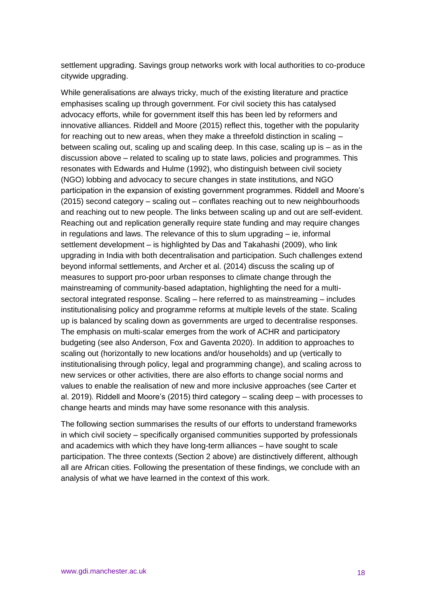settlement upgrading. Savings group networks work with local authorities to co-produce citywide upgrading.

While generalisations are always tricky, much of the existing literature and practice emphasises scaling up through government. For civil society this has catalysed advocacy efforts, while for government itself this has been led by reformers and innovative alliances. Riddell and Moore (2015) reflect this, together with the popularity for reaching out to new areas, when they make a threefold distinction in scaling – between scaling out, scaling up and scaling deep. In this case, scaling up is – as in the discussion above – related to scaling up to state laws, policies and programmes. This resonates with Edwards and Hulme (1992), who distinguish between civil society (NGO) lobbing and advocacy to secure changes in state institutions, and NGO participation in the expansion of existing government programmes. Riddell and Moore's (2015) second category – scaling out – conflates reaching out to new neighbourhoods and reaching out to new people. The links between scaling up and out are self-evident. Reaching out and replication generally require state funding and may require changes in regulations and laws. The relevance of this to slum upgrading – ie, informal settlement development – is highlighted by Das and Takahashi (2009), who link upgrading in India with both decentralisation and participation. Such challenges extend beyond informal settlements, and Archer et al. (2014) discuss the scaling up of measures to support pro-poor urban responses to climate change through the mainstreaming of community-based adaptation, highlighting the need for a multisectoral integrated response. Scaling – here referred to as mainstreaming – includes institutionalising policy and programme reforms at multiple levels of the state. Scaling up is balanced by scaling down as governments are urged to decentralise responses. The emphasis on multi-scalar emerges from the work of ACHR and participatory budgeting (see also Anderson, Fox and Gaventa 2020). In addition to approaches to scaling out (horizontally to new locations and/or households) and up (vertically to institutionalising through policy, legal and programming change), and scaling across to new services or other activities, there are also efforts to change social norms and values to enable the realisation of new and more inclusive approaches (see Carter et al. 2019). Riddell and Moore's (2015) third category – scaling deep – with processes to change hearts and minds may have some resonance with this analysis.

The following section summarises the results of our efforts to understand frameworks in which civil society – specifically organised communities supported by professionals and academics with which they have long-term alliances – have sought to scale participation. The three contexts (Section 2 above) are distinctively different, although all are African cities. Following the presentation of these findings, we conclude with an analysis of what we have learned in the context of this work.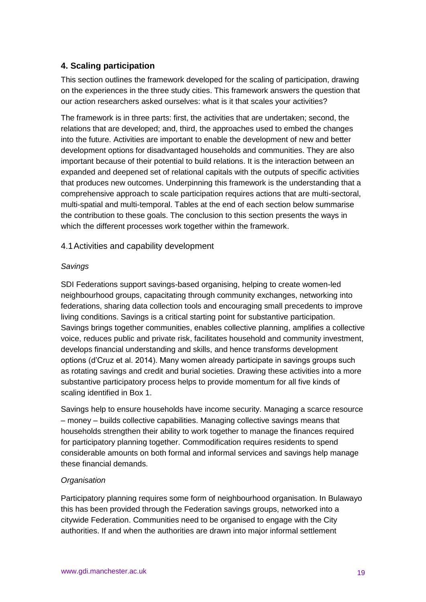# **4. Scaling participation**

This section outlines the framework developed for the scaling of participation, drawing on the experiences in the three study cities. This framework answers the question that our action researchers asked ourselves: what is it that scales your activities?

The framework is in three parts: first, the activities that are undertaken; second, the relations that are developed; and, third, the approaches used to embed the changes into the future. Activities are important to enable the development of new and better development options for disadvantaged households and communities. They are also important because of their potential to build relations. It is the interaction between an expanded and deepened set of relational capitals with the outputs of specific activities that produces new outcomes. Underpinning this framework is the understanding that a comprehensive approach to scale participation requires actions that are multi-sectoral, multi-spatial and multi-temporal. Tables at the end of each section below summarise the contribution to these goals. The conclusion to this section presents the ways in which the different processes work together within the framework.

#### 4.1Activities and capability development

#### *Savings*

SDI Federations support savings-based organising, helping to create women-led neighbourhood groups, capacitating through community exchanges, networking into federations, sharing data collection tools and encouraging small precedents to improve living conditions. Savings is a critical starting point for substantive participation. Savings brings together communities, enables collective planning, amplifies a collective voice, reduces public and private risk, facilitates household and community investment, develops financial understanding and skills, and hence transforms development options (d'Cruz et al. 2014). Many women already participate in savings groups such as rotating savings and credit and burial societies. Drawing these activities into a more substantive participatory process helps to provide momentum for all five kinds of scaling identified in Box 1.

Savings help to ensure households have income security. Managing a scarce resource – money – builds collective capabilities. Managing collective savings means that households strengthen their ability to work together to manage the finances required for participatory planning together. Commodification requires residents to spend considerable amounts on both formal and informal services and savings help manage these financial demands.

#### *Organisation*

Participatory planning requires some form of neighbourhood organisation. In Bulawayo this has been provided through the Federation savings groups, networked into a citywide Federation. Communities need to be organised to engage with the City authorities. If and when the authorities are drawn into major informal settlement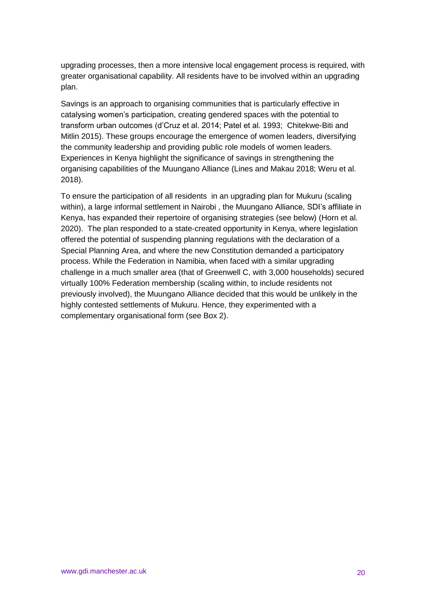upgrading processes, then a more intensive local engagement process is required, with greater organisational capability. All residents have to be involved within an upgrading plan.

Savings is an approach to organising communities that is particularly effective in catalysing women's participation, creating gendered spaces with the potential to transform urban outcomes (d'Cruz et al. 2014; Patel et al*.* 1993; Chitekwe-Biti and Mitlin 2015). These groups encourage the emergence of women leaders, diversifying the community leadership and providing public role models of women leaders. Experiences in Kenya highlight the significance of savings in strengthening the organising capabilities of the Muungano Alliance (Lines and Makau 2018; Weru et al. 2018).

To ensure the participation of all residents in an upgrading plan for Mukuru (scaling within), a large informal settlement in Nairobi , the Muungano Alliance, SDI's affiliate in Kenya, has expanded their repertoire of organising strategies (see below) (Horn et al. 2020). The plan responded to a state-created opportunity in Kenya, where legislation offered the potential of suspending planning regulations with the declaration of a Special Planning Area, and where the new Constitution demanded a participatory process. While the Federation in Namibia, when faced with a similar upgrading challenge in a much smaller area (that of Greenwell C, with 3,000 households) secured virtually 100% Federation membership (scaling within, to include residents not previously involved), the Muungano Alliance decided that this would be unlikely in the highly contested settlements of Mukuru. Hence, they experimented with a complementary organisational form (see Box 2).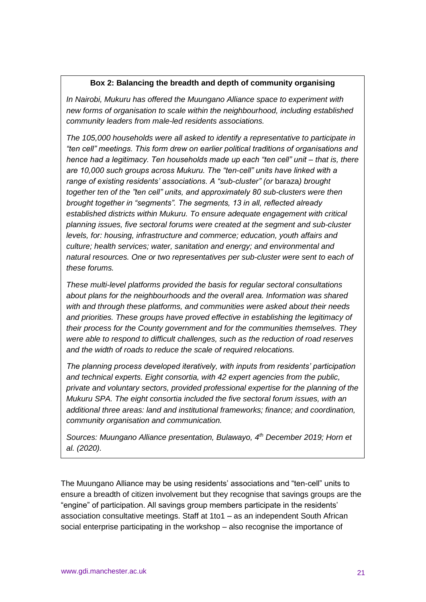#### **Box 2: Balancing the breadth and depth of community organising**

*In Nairobi, Mukuru has offered the Muungano Alliance space to experiment with new forms of organisation to scale within the neighbourhood, including established community leaders from male-led residents associations.* 

*The 105,000 households were all asked to identify a representative to participate in "ten cell" meetings. This form drew on earlier political traditions of organisations and hence had a legitimacy. Ten households made up each "ten cell" unit – that is, there are 10,000 such groups across Mukuru. The "ten-cell" units have linked with a range of existing residents' associations. A "sub-cluster" (or* baraza*) brought together ten of the "ten cell" units, and approximately 80 sub-clusters were then brought together in "segments". The segments, 13 in all, reflected already established districts within Mukuru. To ensure adequate engagement with critical planning issues, five sectoral forums were created at the segment and sub-cluster levels, for: housing, infrastructure and commerce; education, youth affairs and culture; health services; water, sanitation and energy; and environmental and natural resources. One or two representatives per sub-cluster were sent to each of these forums.* 

*These multi-level platforms provided the basis for regular sectoral consultations about plans for the neighbourhoods and the overall area. Information was shared with and through these platforms, and communities were asked about their needs and priorities. These groups have proved effective in establishing the legitimacy of their process for the County government and for the communities themselves. They were able to respond to difficult challenges, such as the reduction of road reserves and the width of roads to reduce the scale of required relocations.*

*The planning process developed iteratively, with inputs from residents' participation and technical experts. Eight consortia, with 42 expert agencies from the public, private and voluntary sectors, provided professional expertise for the planning of the Mukuru SPA. The eight consortia included the five sectoral forum issues, with an additional three areas: land and institutional frameworks; finance; and coordination, community organisation and communication.* 

*Sources: Muungano Alliance presentation, Bulawayo, 4th December 2019; Horn et al. (2020).*

The Muungano Alliance may be using residents' associations and "ten-cell" units to ensure a breadth of citizen involvement but they recognise that savings groups are the "engine" of participation. All savings group members participate in the residents' association consultative meetings. Staff at 1to1 – as an independent South African social enterprise participating in the workshop – also recognise the importance of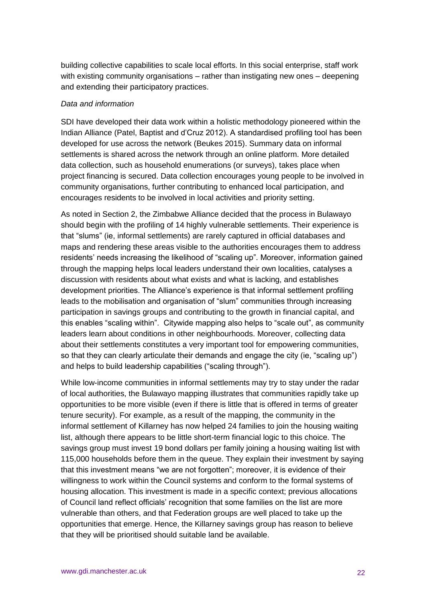building collective capabilities to scale local efforts. In this social enterprise, staff work with existing community organisations – rather than instigating new ones – deepening and extending their participatory practices.

#### *Data and information*

SDI have developed their data work within a holistic methodology pioneered within the Indian Alliance (Patel, Baptist and d'Cruz 2012). A standardised profiling tool has been developed for use across the network (Beukes 2015). Summary data on informal settlements is shared across the network through an online platform. More detailed data collection, such as household enumerations (or surveys), takes place when project financing is secured. Data collection encourages young people to be involved in community organisations, further contributing to enhanced local participation, and encourages residents to be involved in local activities and priority setting.

As noted in Section 2, the Zimbabwe Alliance decided that the process in Bulawayo should begin with the profiling of 14 highly vulnerable settlements. Their experience is that "slums" (ie, informal settlements) are rarely captured in official databases and maps and rendering these areas visible to the authorities encourages them to address residents' needs increasing the likelihood of "scaling up". Moreover, information gained through the mapping helps local leaders understand their own localities, catalyses a discussion with residents about what exists and what is lacking, and establishes development priorities. The Alliance's experience is that informal settlement profiling leads to the mobilisation and organisation of "slum" communities through increasing participation in savings groups and contributing to the growth in financial capital, and this enables "scaling within". Citywide mapping also helps to "scale out", as community leaders learn about conditions in other neighbourhoods. Moreover, collecting data about their settlements constitutes a very important tool for empowering communities, so that they can clearly articulate their demands and engage the city (ie, "scaling up") and helps to build leadership capabilities ("scaling through").

While low-income communities in informal settlements may try to stay under the radar of local authorities, the Bulawayo mapping illustrates that communities rapidly take up opportunities to be more visible (even if there is little that is offered in terms of greater tenure security). For example, as a result of the mapping, the community in the informal settlement of Killarney has now helped 24 families to join the housing waiting list, although there appears to be little short-term financial logic to this choice. The savings group must invest 19 bond dollars per family joining a housing waiting list with 115,000 households before them in the queue. They explain their investment by saying that this investment means "we are not forgotten"; moreover, it is evidence of their willingness to work within the Council systems and conform to the formal systems of housing allocation. This investment is made in a specific context; previous allocations of Council land reflect officials' recognition that some families on the list are more vulnerable than others, and that Federation groups are well placed to take up the opportunities that emerge. Hence, the Killarney savings group has reason to believe that they will be prioritised should suitable land be available.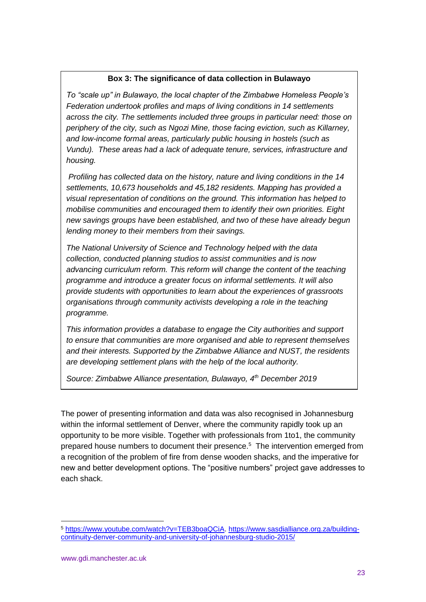#### **Box 3: The significance of data collection in Bulawayo**

*To "scale up" in Bulawayo, the local chapter of the Zimbabwe Homeless People's Federation undertook profiles and maps of living conditions in 14 settlements across the city. The settlements included three groups in particular need: those on periphery of the city, such as Ngozi Mine, those facing eviction, such as Killarney, and low-income formal areas, particularly public housing in hostels (such as Vundu). These areas had a lack of adequate tenure, services, infrastructure and housing.* 

*Profiling has collected data on the history, nature and living conditions in the 14 settlements, 10,673 households and 45,182 residents. Mapping has provided a visual representation of conditions on the ground. This information has helped to mobilise communities and encouraged them to identify their own priorities. Eight new savings groups have been established, and two of these have already begun lending money to their members from their savings.*

*The National University of Science and Technology helped with the data collection, conducted planning studios to assist communities and is now advancing curriculum reform. This reform will change the content of the teaching programme and introduce a greater focus on informal settlements. It will also provide students with opportunities to learn about the experiences of grassroots organisations through community activists developing a role in the teaching programme.* 

*This information provides a database to engage the City authorities and support to ensure that communities are more organised and able to represent themselves and their interests. Supported by the Zimbabwe Alliance and NUST, the residents are developing settlement plans with the help of the local authority.*

*Source: Zimbabwe Alliance presentation, Bulawayo, 4th December 2019*

The power of presenting information and data was also recognised in Johannesburg within the informal settlement of Denver, where the community rapidly took up an opportunity to be more visible. Together with professionals from 1to1, the community prepared house numbers to document their presence.<sup>5</sup> The intervention emerged from a recognition of the problem of fire from dense wooden shacks, and the imperative for new and better development options. The "positive numbers" project gave addresses to each shack.

<sup>5</sup> [https://www.youtube.com/watch?v=TEB3boaQCiA.](https://www.youtube.com/watch?v=TEB3boaQCiA) [https://www.sasdialliance.org.za/building](https://www.sasdialliance.org.za/building-continuity-denver-community-and-university-of-johannesburg-studio-2015/)[continuity-denver-community-and-university-of-johannesburg-studio-2015/](https://www.sasdialliance.org.za/building-continuity-denver-community-and-university-of-johannesburg-studio-2015/)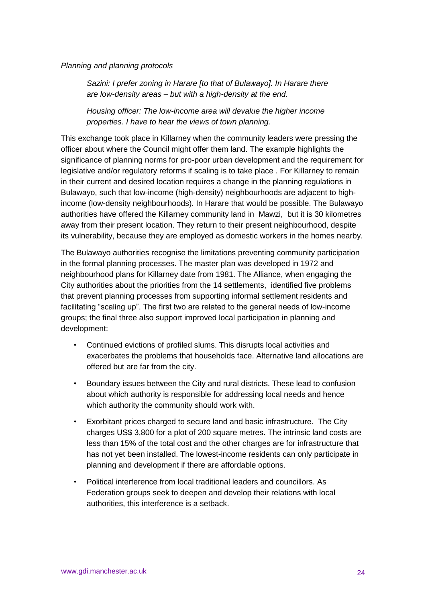#### *Planning and planning protocols*

*Sazini: I prefer zoning in Harare [to that of Bulawayo]. In Harare there are low-density areas – but with a high-density at the end.* 

*Housing officer: The low-income area will devalue the higher income properties. I have to hear the views of town planning.* 

This exchange took place in Killarney when the community leaders were pressing the officer about where the Council might offer them land. The example highlights the significance of planning norms for pro-poor urban development and the requirement for legislative and/or regulatory reforms if scaling is to take place . For Killarney to remain in their current and desired location requires a change in the planning regulations in Bulawayo, such that low-income (high-density) neighbourhoods are adjacent to highincome (low-density neighbourhoods). In Harare that would be possible. The Bulawayo authorities have offered the Killarney community land in Mawzi, but it is 30 kilometres away from their present location. They return to their present neighbourhood, despite its vulnerability, because they are employed as domestic workers in the homes nearby.

The Bulawayo authorities recognise the limitations preventing community participation in the formal planning processes. The master plan was developed in 1972 and neighbourhood plans for Killarney date from 1981. The Alliance, when engaging the City authorities about the priorities from the 14 settlements, identified five problems that prevent planning processes from supporting informal settlement residents and facilitating "scaling up". The first two are related to the general needs of low-income groups; the final three also support improved local participation in planning and development:

- Continued evictions of profiled slums. This disrupts local activities and exacerbates the problems that households face. Alternative land allocations are offered but are far from the city.
- Boundary issues between the City and rural districts. These lead to confusion about which authority is responsible for addressing local needs and hence which authority the community should work with.
- Exorbitant prices charged to secure land and basic infrastructure. The City charges US\$ 3,800 for a plot of 200 square metres. The intrinsic land costs are less than 15% of the total cost and the other charges are for infrastructure that has not yet been installed. The lowest-income residents can only participate in planning and development if there are affordable options.
- Political interference from local traditional leaders and councillors. As Federation groups seek to deepen and develop their relations with local authorities, this interference is a setback.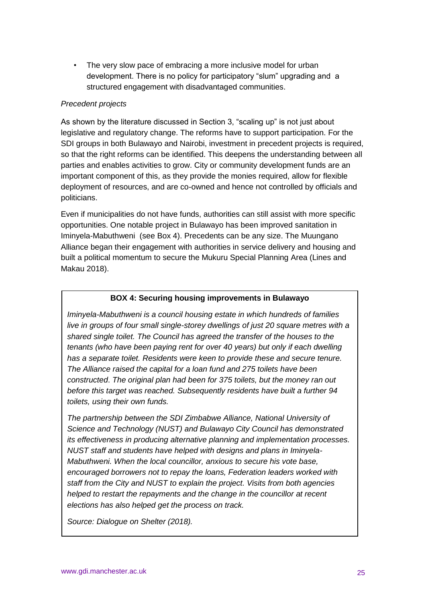• The very slow pace of embracing a more inclusive model for urban development. There is no policy for participatory "slum" upgrading and a structured engagement with disadvantaged communities.

#### *Precedent projects*

As shown by the literature discussed in Section 3, "scaling up" is not just about legislative and regulatory change. The reforms have to support participation. For the SDI groups in both Bulawayo and Nairobi, investment in precedent projects is required, so that the right reforms can be identified. This deepens the understanding between all parties and enables activities to grow. City or community development funds are an important component of this, as they provide the monies required, allow for flexible deployment of resources, and are co-owned and hence not controlled by officials and politicians.

Even if municipalities do not have funds, authorities can still assist with more specific opportunities. One notable project in Bulawayo has been improved sanitation in Iminyela-Mabuthweni (see Box 4). Precedents can be any size. The Muungano Alliance began their engagement with authorities in service delivery and housing and built a political momentum to secure the Mukuru Special Planning Area (Lines and Makau 2018).

#### **BOX 4: Securing housing improvements in Bulawayo**

*Iminyela-Mabuthweni is a council housing estate in which hundreds of families live in groups of four small single-storey dwellings of just 20 square metres with a shared single toilet. The Council has agreed the transfer of the houses to the tenants (who have been paying rent for over 40 years) but only if each dwelling has a separate toilet. Residents were keen to provide these and secure tenure. The Alliance raised the capital for a loan fund and 275 toilets have been constructed*. *The original plan had been for 375 toilets, but the money ran out before this target was reached. Subsequently residents have built a further 94 toilets, using their own funds.* 

*The partnership between the SDI Zimbabwe Alliance, National University of Science and Technology (NUST) and Bulawayo City Council has demonstrated its effectiveness in producing alternative planning and implementation processes. NUST staff and students have helped with designs and plans in Iminyela-Mabuthweni. When the local councillor, anxious to secure his vote base, encouraged borrowers not to repay the loans, Federation leaders worked with staff from the City and NUST to explain the project. Visits from both agencies helped to restart the repayments and the change in the councillor at recent elections has also helped get the process on track.*

*Source: Dialogue on Shelter (2018).*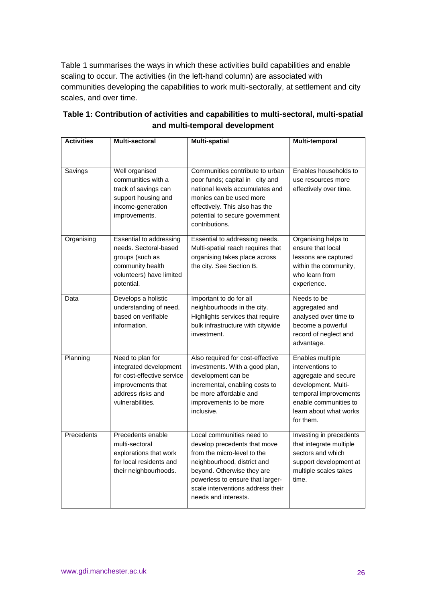Table 1 summarises the ways in which these activities build capabilities and enable scaling to occur. The activities (in the left-hand column) are associated with communities developing the capabilities to work multi-sectorally, at settlement and city scales, and over time.

| <b>Activities</b> | <b>Multi-sectoral</b>                                                                                                                  | <b>Multi-spatial</b>                                                                                                                                                                                                                                   | Multi-temporal                                                                                                                                                               |
|-------------------|----------------------------------------------------------------------------------------------------------------------------------------|--------------------------------------------------------------------------------------------------------------------------------------------------------------------------------------------------------------------------------------------------------|------------------------------------------------------------------------------------------------------------------------------------------------------------------------------|
| Savings           | Well organised<br>communities with a<br>track of savings can<br>support housing and<br>income-generation<br>improvements.              | Communities contribute to urban<br>poor funds; capital in city and<br>national levels accumulates and<br>monies can be used more<br>effectively. This also has the<br>potential to secure government<br>contributions.                                 | Enables households to<br>use resources more<br>effectively over time.                                                                                                        |
| Organising        | Essential to addressing<br>needs. Sectoral-based<br>groups (such as<br>community health<br>volunteers) have limited<br>potential.      | Essential to addressing needs.<br>Multi-spatial reach requires that<br>organising takes place across<br>the city. See Section B.                                                                                                                       | Organising helps to<br>ensure that local<br>lessons are captured<br>within the community,<br>who learn from<br>experience.                                                   |
| Data              | Develops a holistic<br>understanding of need,<br>based on verifiable<br>information.                                                   | Important to do for all<br>neighbourhoods in the city.<br>Highlights services that require<br>bulk infrastructure with citywide<br>investment.                                                                                                         | Needs to be<br>aggregated and<br>analysed over time to<br>become a powerful<br>record of neglect and<br>advantage.                                                           |
| Planning          | Need to plan for<br>integrated development<br>for cost-effective service<br>improvements that<br>address risks and<br>vulnerabilities. | Also required for cost-effective<br>investments. With a good plan,<br>development can be<br>incremental, enabling costs to<br>be more affordable and<br>improvements to be more<br>inclusive.                                                          | Enables multiple<br>interventions to<br>aggregate and secure<br>development. Multi-<br>temporal improvements<br>enable communities to<br>learn about what works<br>for them. |
| Precedents        | Precedents enable<br>multi-sectoral<br>explorations that work<br>for local residents and<br>their neighbourhoods.                      | Local communities need to<br>develop precedents that move<br>from the micro-level to the<br>neighbourhood, district and<br>beyond. Otherwise they are<br>powerless to ensure that larger-<br>scale interventions address their<br>needs and interests. | Investing in precedents<br>that integrate multiple<br>sectors and which<br>support development at<br>multiple scales takes<br>time.                                          |

# **Table 1: Contribution of activities and capabilities to multi-sectoral, multi-spatial and multi-temporal development**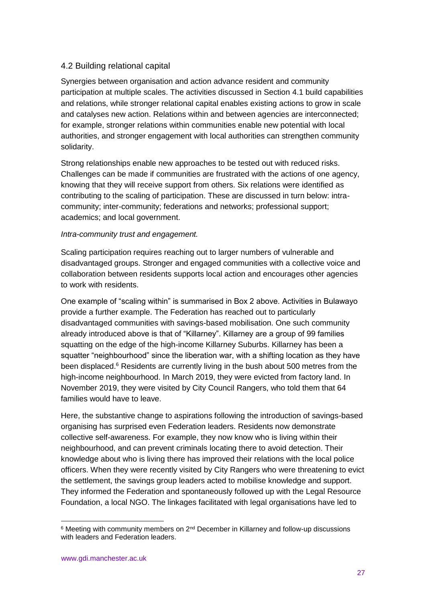# 4.2 Building relational capital

Synergies between organisation and action advance resident and community participation at multiple scales. The activities discussed in Section 4.1 build capabilities and relations, while stronger relational capital enables existing actions to grow in scale and catalyses new action. Relations within and between agencies are interconnected; for example, stronger relations within communities enable new potential with local authorities, and stronger engagement with local authorities can strengthen community solidarity.

Strong relationships enable new approaches to be tested out with reduced risks. Challenges can be made if communities are frustrated with the actions of one agency, knowing that they will receive support from others. Six relations were identified as contributing to the scaling of participation. These are discussed in turn below: intracommunity; inter-community; federations and networks; professional support; academics; and local government.

#### *Intra-community trust and engagement.*

Scaling participation requires reaching out to larger numbers of vulnerable and disadvantaged groups. Stronger and engaged communities with a collective voice and collaboration between residents supports local action and encourages other agencies to work with residents.

One example of "scaling within" is summarised in Box 2 above. Activities in Bulawayo provide a further example. The Federation has reached out to particularly disadvantaged communities with savings-based mobilisation. One such community already introduced above is that of "Killarney". Killarney are a group of 99 families squatting on the edge of the high-income Killarney Suburbs. Killarney has been a squatter "neighbourhood" since the liberation war, with a shifting location as they have been displaced.<sup>6</sup> Residents are currently living in the bush about 500 metres from the high-income neighbourhood. In March 2019, they were evicted from factory land. In November 2019, they were visited by City Council Rangers, who told them that 64 families would have to leave.

Here, the substantive change to aspirations following the introduction of savings-based organising has surprised even Federation leaders. Residents now demonstrate collective self-awareness. For example, they now know who is living within their neighbourhood, and can prevent criminals locating there to avoid detection. Their knowledge about who is living there has improved their relations with the local police officers. When they were recently visited by City Rangers who were threatening to evict the settlement, the savings group leaders acted to mobilise knowledge and support. They informed the Federation and spontaneously followed up with the Legal Resource Foundation, a local NGO. The linkages facilitated with legal organisations have led to

 $6$  Meeting with community members on 2<sup>nd</sup> December in Killarney and follow-up discussions with leaders and Federation leaders.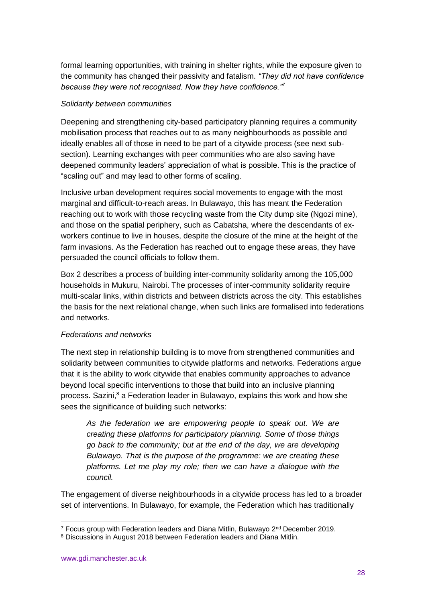formal learning opportunities, with training in shelter rights, while the exposure given to the community has changed their passivity and fatalism. *"They did not have confidence because they were not recognised. Now they have confidence."<sup>7</sup>*

#### *Solidarity between communities*

Deepening and strengthening city-based participatory planning requires a community mobilisation process that reaches out to as many neighbourhoods as possible and ideally enables all of those in need to be part of a citywide process (see next subsection). Learning exchanges with peer communities who are also saving have deepened community leaders' appreciation of what is possible. This is the practice of "scaling out" and may lead to other forms of scaling.

Inclusive urban development requires social movements to engage with the most marginal and difficult-to-reach areas. In Bulawayo, this has meant the Federation reaching out to work with those recycling waste from the City dump site (Ngozi mine), and those on the spatial periphery, such as Cabatsha, where the descendants of exworkers continue to live in houses, despite the closure of the mine at the height of the farm invasions. As the Federation has reached out to engage these areas, they have persuaded the council officials to follow them.

Box 2 describes a process of building inter-community solidarity among the 105,000 households in Mukuru, Nairobi. The processes of inter-community solidarity require multi-scalar links, within districts and between districts across the city. This establishes the basis for the next relational change, when such links are formalised into federations and networks.

# *Federations and networks*

The next step in relationship building is to move from strengthened communities and solidarity between communities to citywide platforms and networks. Federations argue that it is the ability to work citywide that enables community approaches to advance beyond local specific interventions to those that build into an inclusive planning process. Sazini,<sup>8</sup> a Federation leader in Bulawayo, explains this work and how she sees the significance of building such networks:

*As the federation we are empowering people to speak out. We are creating these platforms for participatory planning. Some of those things go back to the community; but at the end of the day, we are developing Bulawayo. That is the purpose of the programme: we are creating these platforms. Let me play my role; then we can have a dialogue with the council.*

The engagement of diverse neighbourhoods in a citywide process has led to a broader set of interventions. In Bulawayo, for example, the Federation which has traditionally

<sup>-</sup> $7$  Focus group with Federation leaders and Diana Mitlin, Bulawayo  $2^{nd}$  December 2019.

<sup>8</sup> Discussions in August 2018 between Federation leaders and Diana Mitlin.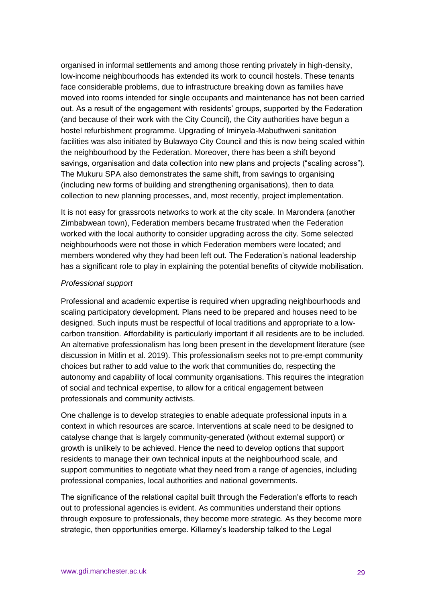organised in informal settlements and among those renting privately in high-density, low-income neighbourhoods has extended its work to council hostels. These tenants face considerable problems, due to infrastructure breaking down as families have moved into rooms intended for single occupants and maintenance has not been carried out. As a result of the engagement with residents' groups, supported by the Federation (and because of their work with the City Council), the City authorities have begun a hostel refurbishment programme. Upgrading of Iminyela-Mabuthweni sanitation facilities was also initiated by Bulawayo City Council and this is now being scaled within the neighbourhood by the Federation. Moreover, there has been a shift beyond savings, organisation and data collection into new plans and projects ("scaling across"). The Mukuru SPA also demonstrates the same shift, from savings to organising (including new forms of building and strengthening organisations), then to data collection to new planning processes, and, most recently, project implementation.

It is not easy for grassroots networks to work at the city scale. In Marondera (another Zimbabwean town), Federation members became frustrated when the Federation worked with the local authority to consider upgrading across the city. Some selected neighbourhoods were not those in which Federation members were located; and members wondered why they had been left out. The Federation's national leadership has a significant role to play in explaining the potential benefits of citywide mobilisation.

#### *Professional support*

Professional and academic expertise is required when upgrading neighbourhoods and scaling participatory development. Plans need to be prepared and houses need to be designed. Such inputs must be respectful of local traditions and appropriate to a lowcarbon transition. Affordability is particularly important if all residents are to be included. An alternative professionalism has long been present in the development literature (see discussion in Mitlin et al*.* 2019). This professionalism seeks not to pre-empt community choices but rather to add value to the work that communities do, respecting the autonomy and capability of local community organisations. This requires the integration of social and technical expertise, to allow for a critical engagement between professionals and community activists.

One challenge is to develop strategies to enable adequate professional inputs in a context in which resources are scarce. Interventions at scale need to be designed to catalyse change that is largely community-generated (without external support) or growth is unlikely to be achieved. Hence the need to develop options that support residents to manage their own technical inputs at the neighbourhood scale, and support communities to negotiate what they need from a range of agencies, including professional companies, local authorities and national governments.

The significance of the relational capital built through the Federation's efforts to reach out to professional agencies is evident. As communities understand their options through exposure to professionals, they become more strategic. As they become more strategic, then opportunities emerge. Killarney's leadership talked to the Legal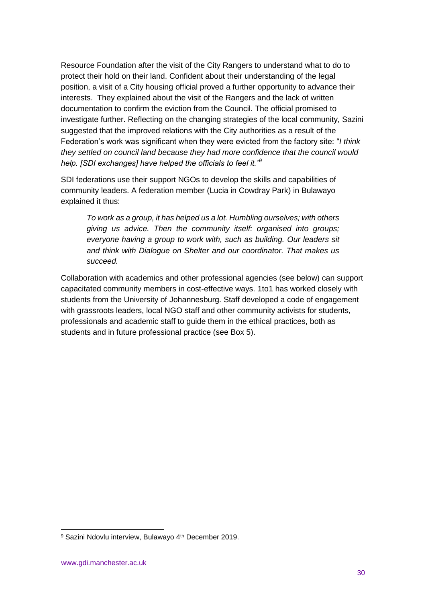Resource Foundation after the visit of the City Rangers to understand what to do to protect their hold on their land. Confident about their understanding of the legal position, a visit of a City housing official proved a further opportunity to advance their interests. They explained about the visit of the Rangers and the lack of written documentation to confirm the eviction from the Council. The official promised to investigate further. Reflecting on the changing strategies of the local community, Sazini suggested that the improved relations with the City authorities as a result of the Federation's work was significant when they were evicted from the factory site: "*I think they settled on council land because they had more confidence that the council would help. [SDI exchanges] have helped the officials to feel it."<sup>9</sup>*

SDI federations use their support NGOs to develop the skills and capabilities of community leaders. A federation member (Lucia in Cowdray Park) in Bulawayo explained it thus:

*To work as a group, it has helped us a lot. Humbling ourselves; with others giving us advice. Then the community itself: organised into groups; everyone having a group to work with, such as building. Our leaders sit and think with Dialogue on Shelter and our coordinator. That makes us succeed.*

Collaboration with academics and other professional agencies (see below) can support capacitated community members in cost-effective ways. 1to1 has worked closely with students from the University of Johannesburg. Staff developed a code of engagement with grassroots leaders, local NGO staff and other community activists for students, professionals and academic staff to guide them in the ethical practices, both as students and in future professional practice (see Box 5).

<sup>&</sup>lt;sup>9</sup> Sazini Ndovlu interview, Bulawayo 4<sup>th</sup> December 2019.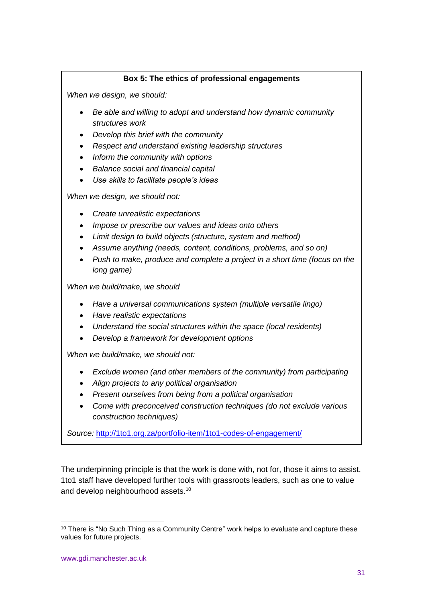# **Box 5: The ethics of professional engagements**

*When we design, we should:*

- *Be able and willing to adopt and understand how dynamic community structures work*
- *Develop this brief with the community*
- *Respect and understand existing leadership structures*
- *Inform the community with options*
- *Balance social and financial capital*
- *Use skills to facilitate people's ideas*

*When we design, we should not:*

- *Create unrealistic expectations*
- *Impose or prescribe our values and ideas onto others*
- *Limit design to build objects (structure, system and method)*
- *Assume anything (needs, content, conditions, problems, and so on)*
- *Push to make, produce and complete a project in a short time (focus on the long game)*

*When we build/make, we should*

- *Have a universal communications system (multiple versatile lingo)*
- *Have realistic expectations*
- *Understand the social structures within the space (local residents)*
- *Develop a framework for development options*

*When we build/make, we should not:*

- *Exclude women (and other members of the community) from participating*
- *Align projects to any political organisation*
- *Present ourselves from being from a political organisation*
- *Come with preconceived construction techniques (do not exclude various construction techniques)*

*Source:* <http://1to1.org.za/portfolio-item/1to1-codes-of-engagement/>

The underpinning principle is that the work is done with, not for, those it aims to assist. 1to1 staff have developed further tools with grassroots leaders, such as one to value and develop neighbourhood assets.<sup>10</sup>

 $10$  There is "No Such Thing as a Community Centre" work helps to evaluate and capture these values for future projects.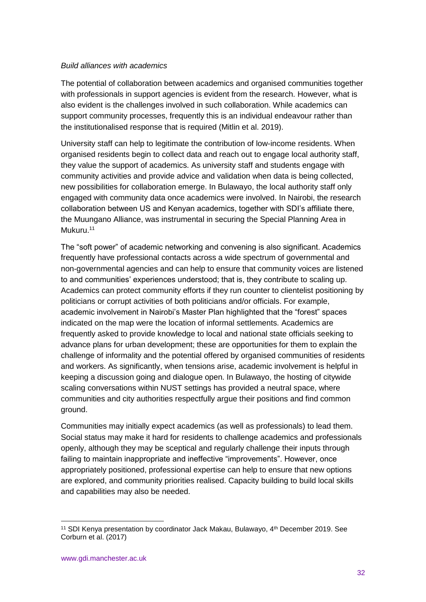#### *Build alliances with academics*

The potential of collaboration between academics and organised communities together with professionals in support agencies is evident from the research. However, what is also evident is the challenges involved in such collaboration. While academics can support community processes, frequently this is an individual endeavour rather than the institutionalised response that is required (Mitlin et al. 2019).

University staff can help to legitimate the contribution of low-income residents. When organised residents begin to collect data and reach out to engage local authority staff, they value the support of academics. As university staff and students engage with community activities and provide advice and validation when data is being collected, new possibilities for collaboration emerge. In Bulawayo, the local authority staff only engaged with community data once academics were involved. In Nairobi, the research collaboration between US and Kenyan academics, together with SDI's affiliate there, the Muungano Alliance, was instrumental in securing the Special Planning Area in Mukuru.<sup>11</sup>

The "soft power" of academic networking and convening is also significant. Academics frequently have professional contacts across a wide spectrum of governmental and non-governmental agencies and can help to ensure that community voices are listened to and communities' experiences understood; that is, they contribute to scaling up. Academics can protect community efforts if they run counter to clientelist positioning by politicians or corrupt activities of both politicians and/or officials. For example, academic involvement in Nairobi's Master Plan highlighted that the "forest" spaces indicated on the map were the location of informal settlements. Academics are frequently asked to provide knowledge to local and national state officials seeking to advance plans for urban development; these are opportunities for them to explain the challenge of informality and the potential offered by organised communities of residents and workers. As significantly, when tensions arise, academic involvement is helpful in keeping a discussion going and dialogue open. In Bulawayo, the hosting of citywide scaling conversations within NUST settings has provided a neutral space, where communities and city authorities respectfully argue their positions and find common ground.

Communities may initially expect academics (as well as professionals) to lead them. Social status may make it hard for residents to challenge academics and professionals openly, although they may be sceptical and regularly challenge their inputs through failing to maintain inappropriate and ineffective "improvements". However, once appropriately positioned, professional expertise can help to ensure that new options are explored, and community priorities realised. Capacity building to build local skills and capabilities may also be needed.

<sup>&</sup>lt;sup>11</sup> SDI Kenya presentation by coordinator Jack Makau, Bulawayo, 4<sup>th</sup> December 2019. See Corburn et al. (2017)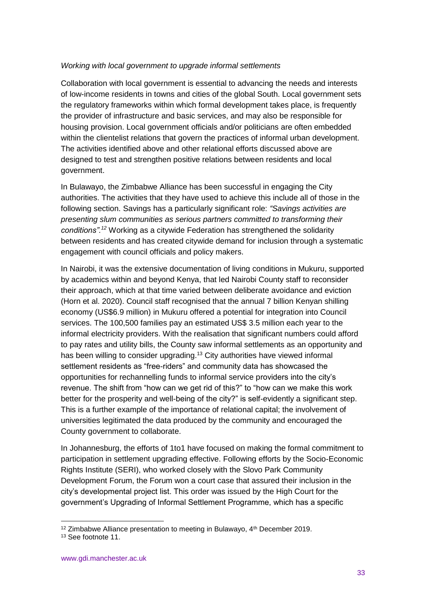#### *Working with local government to upgrade informal settlements*

Collaboration with local government is essential to advancing the needs and interests of low-income residents in towns and cities of the global South. Local government sets the regulatory frameworks within which formal development takes place, is frequently the provider of infrastructure and basic services, and may also be responsible for housing provision. Local government officials and/or politicians are often embedded within the clientelist relations that govern the practices of informal urban development. The activities identified above and other relational efforts discussed above are designed to test and strengthen positive relations between residents and local government.

In Bulawayo, the Zimbabwe Alliance has been successful in engaging the City authorities. The activities that they have used to achieve this include all of those in the following section. Savings has a particularly significant role: *"Savings activities are presenting slum communities as serious partners committed to transforming their conditions".<sup>12</sup>* Working as a citywide Federation has strengthened the solidarity between residents and has created citywide demand for inclusion through a systematic engagement with council officials and policy makers.

In Nairobi, it was the extensive documentation of living conditions in Mukuru, supported by academics within and beyond Kenya, that led Nairobi County staff to reconsider their approach, which at that time varied between deliberate avoidance and eviction (Horn et al. 2020). Council staff recognised that the annual 7 billion Kenyan shilling economy (US\$6.9 million) in Mukuru offered a potential for integration into Council services. The 100,500 families pay an estimated US\$ 3.5 million each year to the informal electricity providers. With the realisation that significant numbers could afford to pay rates and utility bills, the County saw informal settlements as an opportunity and has been willing to consider upgrading.<sup>13</sup> City authorities have viewed informal settlement residents as "free-riders" and community data has showcased the opportunities for rechannelling funds to informal service providers into the city's revenue. The shift from "how can we get rid of this?" to "how can we make this work better for the prosperity and well-being of the city?" is self-evidently a significant step. This is a further example of the importance of relational capital; the involvement of universities legitimated the data produced by the community and encouraged the County government to collaborate.

In Johannesburg, the efforts of 1to1 have focused on making the formal commitment to participation in settlement upgrading effective. Following efforts by the Socio-Economic Rights Institute (SERI), who worked closely with the Slovo Park Community Development Forum, the Forum won a court case that assured their inclusion in the city's developmental project list. This order was issued by the High Court for the government's Upgrading of Informal Settlement Programme, which has a specific

 $12$  Zimbabwe Alliance presentation to meeting in Bulawayo,  $4<sup>th</sup>$  December 2019.

<sup>13</sup> See footnote 11.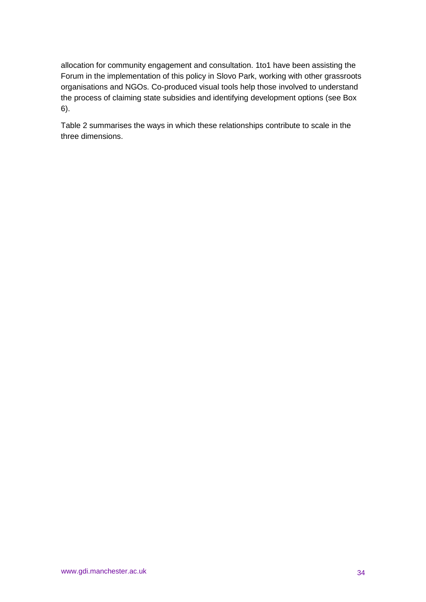allocation for community engagement and consultation. 1to1 have been assisting the Forum in the implementation of this policy in Slovo Park, working with other grassroots organisations and NGOs. Co-produced visual tools help those involved to understand the process of claiming state subsidies and identifying development options (see Box 6).

Table 2 summarises the ways in which these relationships contribute to scale in the three dimensions.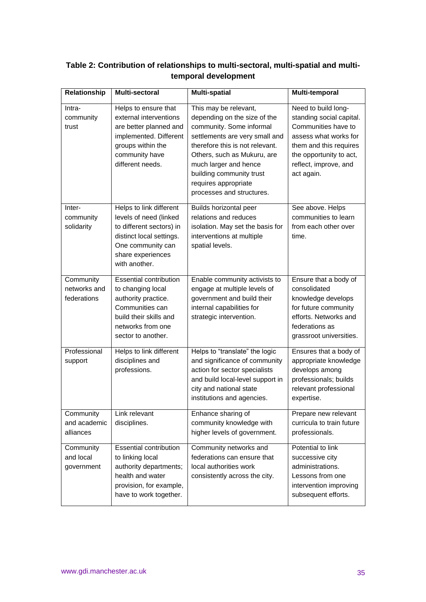| Relationship                             | <b>Multi-sectoral</b>                                                                                                                                                | <b>Multi-spatial</b>                                                                                                                                                                                                                                                                            | Multi-temporal                                                                                                                                                                              |
|------------------------------------------|----------------------------------------------------------------------------------------------------------------------------------------------------------------------|-------------------------------------------------------------------------------------------------------------------------------------------------------------------------------------------------------------------------------------------------------------------------------------------------|---------------------------------------------------------------------------------------------------------------------------------------------------------------------------------------------|
| Intra-<br>community<br>trust             | Helps to ensure that<br>external interventions<br>are better planned and<br>implemented. Different<br>groups within the<br>community have<br>different needs.        | This may be relevant,<br>depending on the size of the<br>community. Some informal<br>settlements are very small and<br>therefore this is not relevant.<br>Others, such as Mukuru, are<br>much larger and hence<br>building community trust<br>requires appropriate<br>processes and structures. | Need to build long-<br>standing social capital.<br>Communities have to<br>assess what works for<br>them and this requires<br>the opportunity to act,<br>reflect, improve, and<br>act again. |
| Inter-<br>community<br>solidarity        | Helps to link different<br>levels of need (linked<br>to different sectors) in<br>distinct local settings.<br>One community can<br>share experiences<br>with another. | Builds horizontal peer<br>relations and reduces<br>isolation. May set the basis for<br>interventions at multiple<br>spatial levels.                                                                                                                                                             | See above. Helps<br>communities to learn<br>from each other over<br>time.                                                                                                                   |
| Community<br>networks and<br>federations | <b>Essential contribution</b><br>to changing local<br>authority practice.<br>Communities can<br>build their skills and<br>networks from one<br>sector to another.    | Enable community activists to<br>engage at multiple levels of<br>government and build their<br>internal capabilities for<br>strategic intervention.                                                                                                                                             | Ensure that a body of<br>consolidated<br>knowledge develops<br>for future community<br>efforts. Networks and<br>federations as<br>grassroot universities.                                   |
| Professional<br>support                  | Helps to link different<br>disciplines and<br>professions.                                                                                                           | Helps to "translate" the logic<br>and significance of community<br>action for sector specialists<br>and build local-level support in<br>city and national state<br>institutions and agencies.                                                                                                   | Ensures that a body of<br>appropriate knowledge<br>develops among<br>professionals; builds<br>relevant professional<br>expertise.                                                           |
| Community<br>and academic<br>alliances   | Link relevant<br>disciplines.                                                                                                                                        | Enhance sharing of<br>community knowledge with<br>higher levels of government.                                                                                                                                                                                                                  | Prepare new relevant<br>curricula to train future<br>professionals.                                                                                                                         |
| Community<br>and local<br>government     | <b>Essential contribution</b><br>to linking local<br>authority departments;<br>health and water<br>provision, for example,<br>have to work together.                 | Community networks and<br>federations can ensure that<br>local authorities work<br>consistently across the city.                                                                                                                                                                                | Potential to link<br>successive city<br>administrations.<br>Lessons from one<br>intervention improving<br>subsequent efforts.                                                               |

# **Table 2: Contribution of relationships to multi-sectoral, multi-spatial and multitemporal development**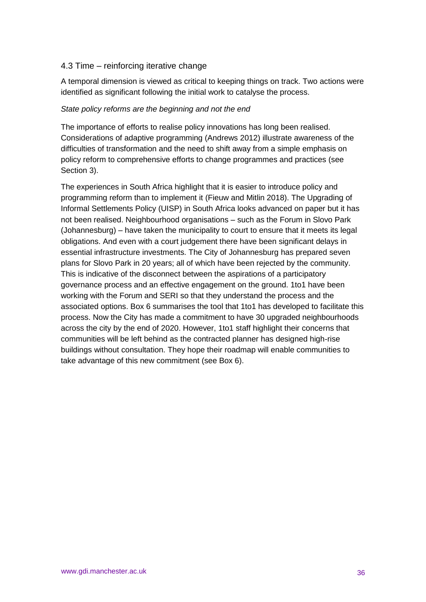# 4.3 Time – reinforcing iterative change

A temporal dimension is viewed as critical to keeping things on track. Two actions were identified as significant following the initial work to catalyse the process.

#### *State policy reforms are the beginning and not the end*

The importance of efforts to realise policy innovations has long been realised. Considerations of adaptive programming (Andrews 2012) illustrate awareness of the difficulties of transformation and the need to shift away from a simple emphasis on policy reform to comprehensive efforts to change programmes and practices (see Section 3).

The experiences in South Africa highlight that it is easier to introduce policy and programming reform than to implement it (Fieuw and Mitlin 2018). The Upgrading of Informal Settlements Policy (UISP) in South Africa looks advanced on paper but it has not been realised. Neighbourhood organisations – such as the Forum in Slovo Park (Johannesburg) – have taken the municipality to court to ensure that it meets its legal obligations. And even with a court judgement there have been significant delays in essential infrastructure investments. The City of Johannesburg has prepared seven plans for Slovo Park in 20 years; all of which have been rejected by the community. This is indicative of the disconnect between the aspirations of a participatory governance process and an effective engagement on the ground. 1to1 have been working with the Forum and SERI so that they understand the process and the associated options. Box 6 summarises the tool that 1to1 has developed to facilitate this process. Now the City has made a commitment to have 30 upgraded neighbourhoods across the city by the end of 2020. However, 1to1 staff highlight their concerns that communities will be left behind as the contracted planner has designed high-rise buildings without consultation. They hope their roadmap will enable communities to take advantage of this new commitment (see Box 6).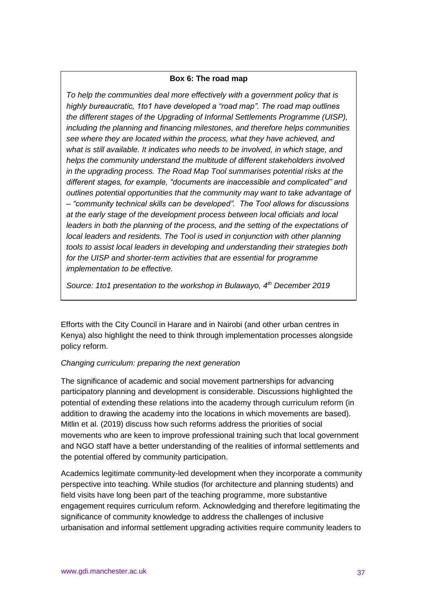#### **Box 6: The road map**

*To help the communities deal more effectively with a government policy that is highly bureaucratic, 1to1 have developed a "road map". The road map outlines the different stages of the Upgrading of Informal Settlements Programme (UISP), including the planning and financing milestones, and therefore helps communities see where they are located within the process, what they have achieved, and what is still available. It indicates who needs to be involved, in which stage, and helps the community understand the multitude of different stakeholders involved in the upgrading process. The Road Map Tool summarises potential risks at the different stages, for example, "documents are inaccessible and complicated" and outlines potential opportunities that the community may want to take advantage of – "community technical skills can be developed". The Tool allows for discussions at the early stage of the development process between local officials and local*  leaders in both the planning of the process, and the setting of the expectations of *local leaders and residents. The Tool is used in conjunction with other planning tools to assist local leaders in developing and understanding their strategies both for the UISP and shorter-term activities that are essential for programme implementation to be effective.* 

*Source: 1to1 presentation to the workshop in Bulawayo, 4th December 2019*

Efforts with the City Council in Harare and in Nairobi (and other urban centres in Kenya) also highlight the need to think through implementation processes alongside policy reform.

#### *Changing curriculum: preparing the next generation*

The significance of academic and social movement partnerships for advancing participatory planning and development is considerable. Discussions highlighted the potential of extending these relations into the academy through curriculum reform (in addition to drawing the academy into the locations in which movements are based). Mitlin et al. (2019) discuss how such reforms address the priorities of social movements who are keen to improve professional training such that local government and NGO staff have a better understanding of the realities of informal settlements and the potential offered by community participation.

Academics legitimate community-led development when they incorporate a community perspective into teaching. While studios (for architecture and planning students) and field visits have long been part of the teaching programme, more substantive engagement requires curriculum reform. Acknowledging and therefore legitimating the significance of community knowledge to address the challenges of inclusive urbanisation and informal settlement upgrading activities require community leaders to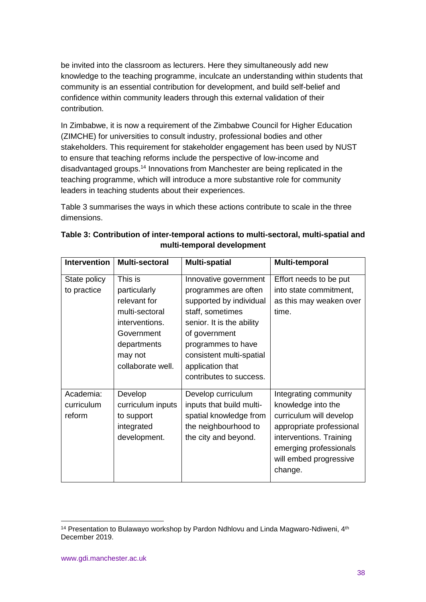be invited into the classroom as lecturers. Here they simultaneously add new knowledge to the teaching programme, inculcate an understanding within students that community is an essential contribution for development, and build self-belief and confidence within community leaders through this external validation of their contribution.

In Zimbabwe, it is now a requirement of the Zimbabwe Council for Higher Education (ZIMCHE) for universities to consult industry, professional bodies and other stakeholders. This requirement for stakeholder engagement has been used by NUST to ensure that teaching reforms include the perspective of low-income and disadvantaged groups.<sup>14</sup> Innovations from Manchester are being replicated in the teaching programme, which will introduce a more substantive role for community leaders in teaching students about their experiences.

Table 3 summarises the ways in which these actions contribute to scale in the three dimensions.

| <b>Intervention</b>               | <b>Multi-sectoral</b>                                                                                                                    | <b>Multi-spatial</b>                                                                                                                                                                                                                        | Multi-temporal                                                                                                                                                                               |
|-----------------------------------|------------------------------------------------------------------------------------------------------------------------------------------|---------------------------------------------------------------------------------------------------------------------------------------------------------------------------------------------------------------------------------------------|----------------------------------------------------------------------------------------------------------------------------------------------------------------------------------------------|
| State policy<br>to practice       | This is<br>particularly<br>relevant for<br>multi-sectoral<br>interventions.<br>Government<br>departments<br>may not<br>collaborate well. | Innovative government<br>programmes are often<br>supported by individual<br>staff, sometimes<br>senior. It is the ability<br>of government<br>programmes to have<br>consistent multi-spatial<br>application that<br>contributes to success. | Effort needs to be put<br>into state commitment,<br>as this may weaken over<br>time.                                                                                                         |
| Academia:<br>curriculum<br>reform | Develop<br>curriculum inputs<br>to support<br>integrated<br>development.                                                                 | Develop curriculum<br>inputs that build multi-<br>spatial knowledge from<br>the neighbourhood to<br>the city and beyond.                                                                                                                    | Integrating community<br>knowledge into the<br>curriculum will develop<br>appropriate professional<br>interventions. Training<br>emerging professionals<br>will embed progressive<br>change. |

# **Table 3: Contribution of inter-temporal actions to multi-sectoral, multi-spatial and multi-temporal development**

<sup>-</sup> $14$  Presentation to Bulawayo workshop by Pardon Ndhlovu and Linda Magwaro-Ndiweni,  $4<sup>th</sup>$ December 2019.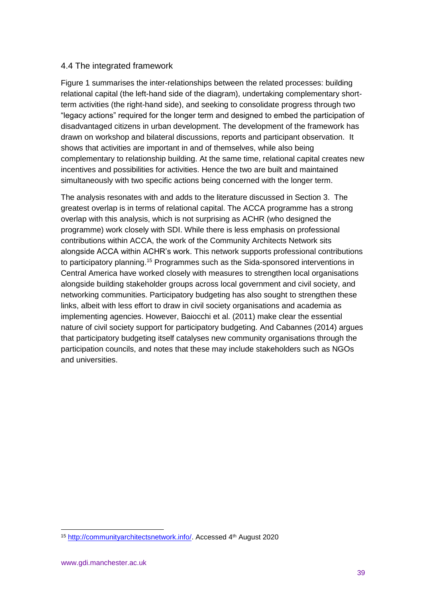# 4.4 The integrated framework

Figure 1 summarises the inter-relationships between the related processes: building relational capital (the left-hand side of the diagram), undertaking complementary shortterm activities (the right-hand side), and seeking to consolidate progress through two "legacy actions" required for the longer term and designed to embed the participation of disadvantaged citizens in urban development. The development of the framework has drawn on workshop and bilateral discussions, reports and participant observation. It shows that activities are important in and of themselves, while also being complementary to relationship building. At the same time, relational capital creates new incentives and possibilities for activities. Hence the two are built and maintained simultaneously with two specific actions being concerned with the longer term.

The analysis resonates with and adds to the literature discussed in Section 3. The greatest overlap is in terms of relational capital. The ACCA programme has a strong overlap with this analysis, which is not surprising as ACHR (who designed the programme) work closely with SDI. While there is less emphasis on professional contributions within ACCA, the work of the Community Architects Network sits alongside ACCA within ACHR's work. This network supports professional contributions to participatory planning.<sup>15</sup> Programmes such as the Sida-sponsored interventions in Central America have worked closely with measures to strengthen local organisations alongside building stakeholder groups across local government and civil society, and networking communities. Participatory budgeting has also sought to strengthen these links, albeit with less effort to draw in civil society organisations and academia as implementing agencies. However, Baiocchi et al. (2011) make clear the essential nature of civil society support for participatory budgeting. And Cabannes (2014) argues that participatory budgeting itself catalyses new community organisations through the participation councils, and notes that these may include stakeholders such as NGOs and universities.

<sup>15</sup> [http://communityarchitectsnetwork.info/.](http://communityarchitectsnetwork.info/) Accessed 4th August 2020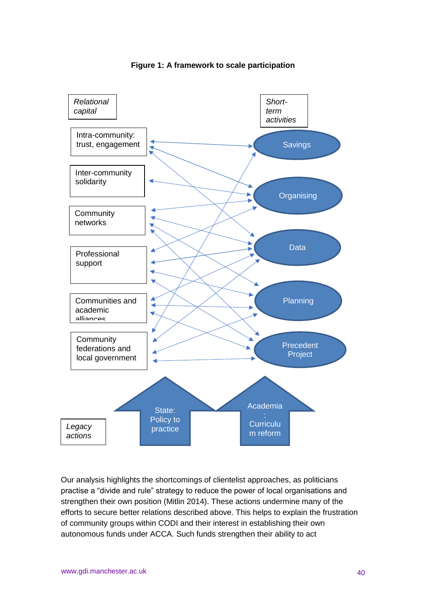

#### **Figure 1: A framework to scale participation**

Our analysis highlights the shortcomings of clientelist approaches, as politicians practise a "divide and rule" strategy to reduce the power of local organisations and strengthen their own position (Mitlin 2014). These actions undermine many of the efforts to secure better relations described above. This helps to explain the frustration of community groups within CODI and their interest in establishing their own autonomous funds under ACCA. Such funds strengthen their ability to act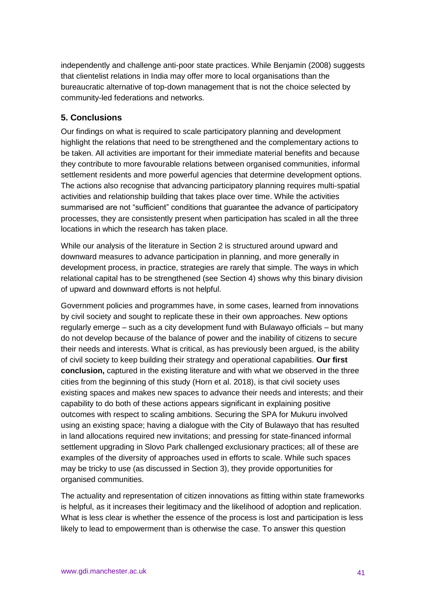independently and challenge anti-poor state practices. While Benjamin (2008) suggests that clientelist relations in India may offer more to local organisations than the bureaucratic alternative of top-down management that is not the choice selected by community-led federations and networks.

# **5. Conclusions**

Our findings on what is required to scale participatory planning and development highlight the relations that need to be strengthened and the complementary actions to be taken. All activities are important for their immediate material benefits and because they contribute to more favourable relations between organised communities, informal settlement residents and more powerful agencies that determine development options. The actions also recognise that advancing participatory planning requires multi-spatial activities and relationship building that takes place over time. While the activities summarised are not "sufficient" conditions that guarantee the advance of participatory processes, they are consistently present when participation has scaled in all the three locations in which the research has taken place.

While our analysis of the literature in Section 2 is structured around upward and downward measures to advance participation in planning, and more generally in development process, in practice, strategies are rarely that simple. The ways in which relational capital has to be strengthened (see Section 4) shows why this binary division of upward and downward efforts is not helpful.

Government policies and programmes have, in some cases, learned from innovations by civil society and sought to replicate these in their own approaches. New options regularly emerge – such as a city development fund with Bulawayo officials – but many do not develop because of the balance of power and the inability of citizens to secure their needs and interests. What is critical, as has previously been argued, is the ability of civil society to keep building their strategy and operational capabilities. **Our first conclusion,** captured in the existing literature and with what we observed in the three cities from the beginning of this study (Horn et al. 2018), is that civil society uses existing spaces and makes new spaces to advance their needs and interests; and their capability to do both of these actions appears significant in explaining positive outcomes with respect to scaling ambitions. Securing the SPA for Mukuru involved using an existing space; having a dialogue with the City of Bulawayo that has resulted in land allocations required new invitations; and pressing for state-financed informal settlement upgrading in Slovo Park challenged exclusionary practices; all of these are examples of the diversity of approaches used in efforts to scale. While such spaces may be tricky to use (as discussed in Section 3), they provide opportunities for organised communities.

The actuality and representation of citizen innovations as fitting within state frameworks is helpful, as it increases their legitimacy and the likelihood of adoption and replication. What is less clear is whether the essence of the process is lost and participation is less likely to lead to empowerment than is otherwise the case. To answer this question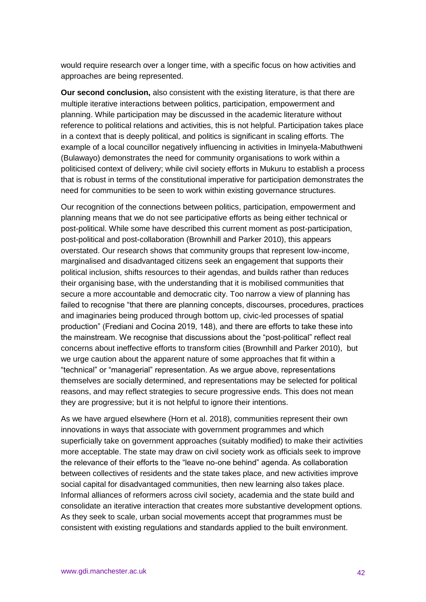would require research over a longer time, with a specific focus on how activities and approaches are being represented.

**Our second conclusion,** also consistent with the existing literature, is that there are multiple iterative interactions between politics, participation, empowerment and planning. While participation may be discussed in the academic literature without reference to political relations and activities, this is not helpful. Participation takes place in a context that is deeply political, and politics is significant in scaling efforts. The example of a local councillor negatively influencing in activities in Iminyela-Mabuthweni (Bulawayo) demonstrates the need for community organisations to work within a politicised context of delivery; while civil society efforts in Mukuru to establish a process that is robust in terms of the constitutional imperative for participation demonstrates the need for communities to be seen to work within existing governance structures.

Our recognition of the connections between politics, participation, empowerment and planning means that we do not see participative efforts as being either technical or post-political. While some have described this current moment as post-participation, post-political and post-collaboration (Brownhill and Parker 2010), this appears overstated. Our research shows that community groups that represent low-income, marginalised and disadvantaged citizens seek an engagement that supports their political inclusion, shifts resources to their agendas, and builds rather than reduces their organising base, with the understanding that it is mobilised communities that secure a more accountable and democratic city. Too narrow a view of planning has failed to recognise "that there are planning concepts, discourses, procedures, practices and imaginaries being produced through bottom up, civic-led processes of spatial production" (Frediani and Cocina 2019, 148), and there are efforts to take these into the mainstream. We recognise that discussions about the "post-political" reflect real concerns about ineffective efforts to transform cities (Brownhill and Parker 2010), but we urge caution about the apparent nature of some approaches that fit within a "technical" or "managerial" representation. As we argue above, representations themselves are socially determined, and representations may be selected for political reasons, and may reflect strategies to secure progressive ends. This does not mean they are progressive; but it is not helpful to ignore their intentions.

As we have argued elsewhere (Horn et al. 2018), communities represent their own innovations in ways that associate with government programmes and which superficially take on government approaches (suitably modified) to make their activities more acceptable. The state may draw on civil society work as officials seek to improve the relevance of their efforts to the "leave no-one behind" agenda. As collaboration between collectives of residents and the state takes place, and new activities improve social capital for disadvantaged communities, then new learning also takes place. Informal alliances of reformers across civil society, academia and the state build and consolidate an iterative interaction that creates more substantive development options. As they seek to scale, urban social movements accept that programmes must be consistent with existing regulations and standards applied to the built environment.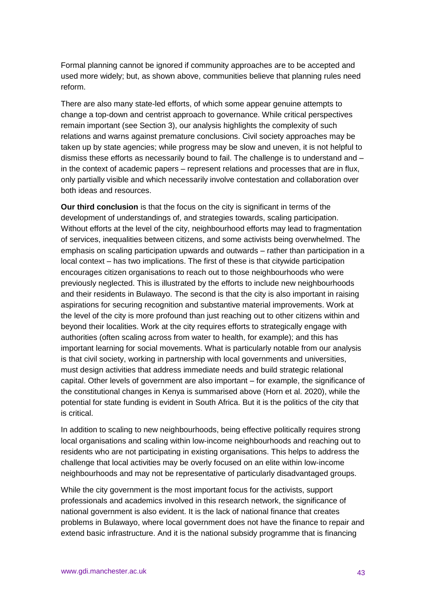Formal planning cannot be ignored if community approaches are to be accepted and used more widely; but, as shown above, communities believe that planning rules need reform.

There are also many state-led efforts, of which some appear genuine attempts to change a top-down and centrist approach to governance. While critical perspectives remain important (see Section 3), our analysis highlights the complexity of such relations and warns against premature conclusions. Civil society approaches may be taken up by state agencies; while progress may be slow and uneven, it is not helpful to dismiss these efforts as necessarily bound to fail. The challenge is to understand and – in the context of academic papers – represent relations and processes that are in flux, only partially visible and which necessarily involve contestation and collaboration over both ideas and resources.

**Our third conclusion** is that the focus on the city is significant in terms of the development of understandings of, and strategies towards, scaling participation. Without efforts at the level of the city, neighbourhood efforts may lead to fragmentation of services, inequalities between citizens, and some activists being overwhelmed. The emphasis on scaling participation upwards and outwards – rather than participation in a local context – has two implications. The first of these is that citywide participation encourages citizen organisations to reach out to those neighbourhoods who were previously neglected. This is illustrated by the efforts to include new neighbourhoods and their residents in Bulawayo. The second is that the city is also important in raising aspirations for securing recognition and substantive material improvements. Work at the level of the city is more profound than just reaching out to other citizens within and beyond their localities. Work at the city requires efforts to strategically engage with authorities (often scaling across from water to health, for example); and this has important learning for social movements. What is particularly notable from our analysis is that civil society, working in partnership with local governments and universities, must design activities that address immediate needs and build strategic relational capital. Other levels of government are also important – for example, the significance of the constitutional changes in Kenya is summarised above (Horn et al. 2020), while the potential for state funding is evident in South Africa. But it is the politics of the city that is critical.

In addition to scaling to new neighbourhoods, being effective politically requires strong local organisations and scaling within low-income neighbourhoods and reaching out to residents who are not participating in existing organisations. This helps to address the challenge that local activities may be overly focused on an elite within low-income neighbourhoods and may not be representative of particularly disadvantaged groups.

While the city government is the most important focus for the activists, support professionals and academics involved in this research network, the significance of national government is also evident. It is the lack of national finance that creates problems in Bulawayo, where local government does not have the finance to repair and extend basic infrastructure. And it is the national subsidy programme that is financing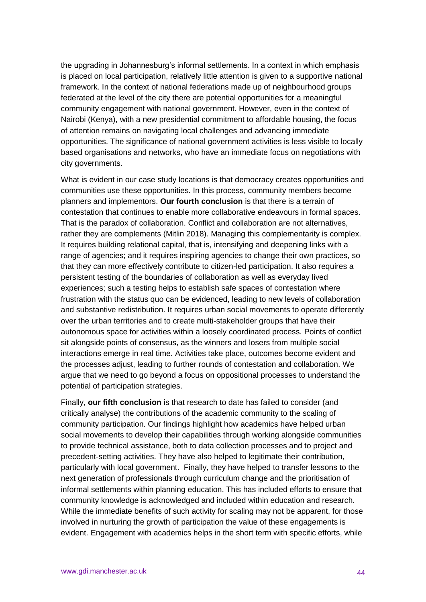the upgrading in Johannesburg's informal settlements. In a context in which emphasis is placed on local participation, relatively little attention is given to a supportive national framework. In the context of national federations made up of neighbourhood groups federated at the level of the city there are potential opportunities for a meaningful community engagement with national government. However, even in the context of Nairobi (Kenya), with a new presidential commitment to affordable housing, the focus of attention remains on navigating local challenges and advancing immediate opportunities. The significance of national government activities is less visible to locally based organisations and networks, who have an immediate focus on negotiations with city governments.

What is evident in our case study locations is that democracy creates opportunities and communities use these opportunities. In this process, community members become planners and implementors. **Our fourth conclusion** is that there is a terrain of contestation that continues to enable more collaborative endeavours in formal spaces. That is the paradox of collaboration. Conflict and collaboration are not alternatives, rather they are complements (Mitlin 2018). Managing this complementarity is complex. It requires building relational capital, that is, intensifying and deepening links with a range of agencies; and it requires inspiring agencies to change their own practices, so that they can more effectively contribute to citizen-led participation. It also requires a persistent testing of the boundaries of collaboration as well as everyday lived experiences; such a testing helps to establish safe spaces of contestation where frustration with the status quo can be evidenced, leading to new levels of collaboration and substantive redistribution. It requires urban social movements to operate differently over the urban territories and to create multi-stakeholder groups that have their autonomous space for activities within a loosely coordinated process. Points of conflict sit alongside points of consensus, as the winners and losers from multiple social interactions emerge in real time. Activities take place, outcomes become evident and the processes adjust, leading to further rounds of contestation and collaboration. We argue that we need to go beyond a focus on oppositional processes to understand the potential of participation strategies.

Finally, **our fifth conclusion** is that research to date has failed to consider (and critically analyse) the contributions of the academic community to the scaling of community participation. Our findings highlight how academics have helped urban social movements to develop their capabilities through working alongside communities to provide technical assistance, both to data collection processes and to project and precedent-setting activities. They have also helped to legitimate their contribution, particularly with local government. Finally, they have helped to transfer lessons to the next generation of professionals through curriculum change and the prioritisation of informal settlements within planning education. This has included efforts to ensure that community knowledge is acknowledged and included within education and research. While the immediate benefits of such activity for scaling may not be apparent, for those involved in nurturing the growth of participation the value of these engagements is evident. Engagement with academics helps in the short term with specific efforts, while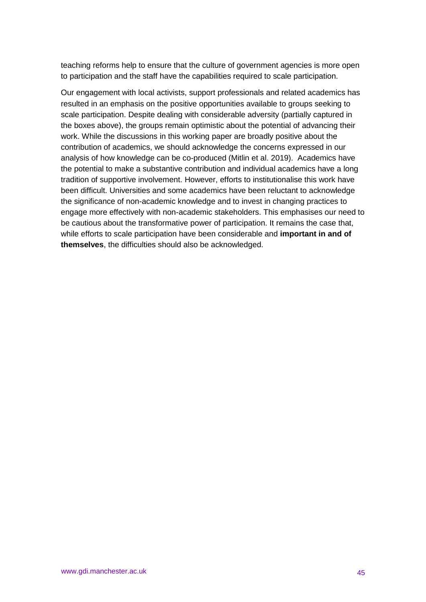teaching reforms help to ensure that the culture of government agencies is more open to participation and the staff have the capabilities required to scale participation.

Our engagement with local activists, support professionals and related academics has resulted in an emphasis on the positive opportunities available to groups seeking to scale participation. Despite dealing with considerable adversity (partially captured in the boxes above), the groups remain optimistic about the potential of advancing their work. While the discussions in this working paper are broadly positive about the contribution of academics, we should acknowledge the concerns expressed in our analysis of how knowledge can be co-produced (Mitlin et al. 2019). Academics have the potential to make a substantive contribution and individual academics have a long tradition of supportive involvement. However, efforts to institutionalise this work have been difficult. Universities and some academics have been reluctant to acknowledge the significance of non-academic knowledge and to invest in changing practices to engage more effectively with non-academic stakeholders. This emphasises our need to be cautious about the transformative power of participation. It remains the case that, while efforts to scale participation have been considerable and **important in and of themselves**, the difficulties should also be acknowledged.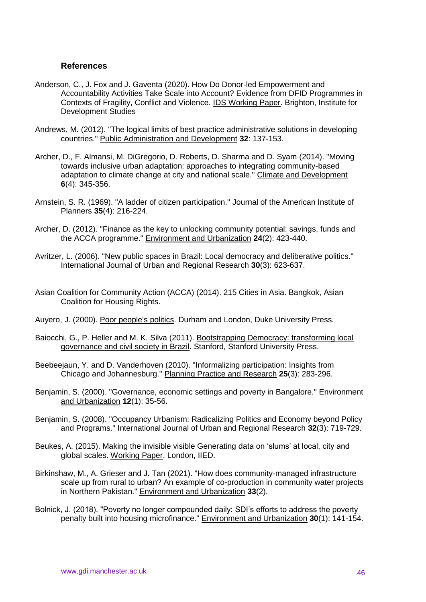#### **References**

- Anderson, C., J. Fox and J. Gaventa (2020). How Do Donor-led Empowerment and Accountability Activities Take Scale into Account? Evidence from DFID Programmes in Contexts of Fragility, Conflict and Violence. IDS Working Paper. Brighton, Institute for Development Studies
- Andrews, M. (2012). "The logical limits of best practice administrative solutions in developing countries." Public Administration and Development **32**: 137-153.
- Archer, D., F. Almansi, M. DiGregorio, D. Roberts, D. Sharma and D. Syam (2014). "Moving towards inclusive urban adaptation: approaches to integrating community-based adaptation to climate change at city and national scale." Climate and Development **6**(4): 345-356.
- Arnstein, S. R. (1969). "A ladder of citizen participation." Journal of the American Institute of Planners **35**(4): 216-224.
- Archer, D. (2012). "Finance as the key to unlocking community potential: savings, funds and the ACCA programme." Environment and Urbanization **24**(2): 423-440.
- Avritzer, L. (2006). "New public spaces in Brazil: Local democracy and deliberative politics." International Journal of Urban and Regional Research **30**(3): 623-637.
- Asian Coalition for Community Action (ACCA) (2014). 215 Cities in Asia. Bangkok, Asian Coalition for Housing Rights.
- Auyero, J. (2000). Poor people's politics. Durham and London, Duke University Press.
- Baiocchi, G., P. Heller and M. K. Silva (2011). Bootstrapping Democracy: transforming local governance and civil society in Brazil. Stanford, Stanford University Press.
- Beebeejaun, Y. and D. Vanderhoven (2010). "Informalizing participation: Insights from Chicago and Johannesburg." Planning Practice and Research **25**(3): 283-296.
- Benjamin, S. (2000). "Governance, economic settings and poverty in Bangalore." Environment and Urbanization **12**(1): 35-56.
- Benjamin, S. (2008). "Occupancy Urbanism: Radicalizing Politics and Economy beyond Policy and Programs." International Journal of Urban and Regional Research **32**(3): 719-729.
- Beukes, A. (2015). Making the invisible visible Generating data on 'slums' at local, city and global scales. Working Paper. London, IIED.
- Birkinshaw, M., A. Grieser and J. Tan (2021). "How does community-managed infrastructure scale up from rural to urban? An example of co-production in community water projects in Northern Pakistan." Environment and Urbanization **33**(2).
- Bolnick, J. (2018). "Poverty no longer compounded daily: SDI's efforts to address the poverty penalty built into housing microfinance." Environment and Urbanization **30**(1): 141-154.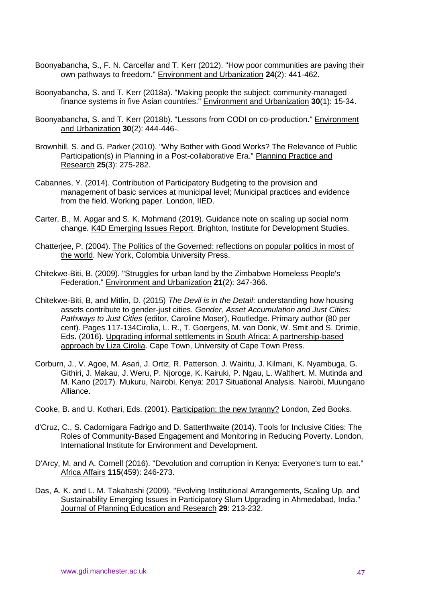- Boonyabancha, S., F. N. Carcellar and T. Kerr (2012). "How poor communities are paving their own pathways to freedom." Environment and Urbanization **24**(2): 441-462.
- Boonyabancha, S. and T. Kerr (2018a). "Making people the subject: community-managed finance systems in five Asian countries." Environment and Urbanization **30**(1): 15-34.
- Boonyabancha, S. and T. Kerr (2018b). "Lessons from CODI on co-production." Environment and Urbanization **30**(2): 444-446-.
- Brownhill, S. and G. Parker (2010). "Why Bother with Good Works? The Relevance of Public Participation(s) in Planning in a Post-collaborative Era." Planning Practice and Research **25**(3): 275-282.
- Cabannes, Y. (2014). Contribution of Participatory Budgeting to the provision and management of basic services at municipal level; Municipal practices and evidence from the field. Working paper. London, IIED.
- Carter, B., M. Apgar and S. K. Mohmand (2019). Guidance note on scaling up social norm change. K4D Emerging Issues Report. Brighton, Institute for Development Studies.
- Chatterjee, P. (2004). The Politics of the Governed: reflections on popular politics in most of the world. New York, Colombia University Press.
- Chitekwe-Biti, B. (2009). "Struggles for urban land by the Zimbabwe Homeless People's Federation." Environment and Urbanization **21**(2): 347-366.
- Chitekwe-Biti, B, and Mitlin, D. (2015) *The Devil is in the Detail*: understanding how housing assets contribute to gender-just cities. *Gender, Asset Accumulation and Just Cities: Pathways to Just Cities* (editor, Caroline Moser), Routledge. Primary author (80 per cent). Pages 117-134Cirolia, L. R., T. Goergens, M. van Donk, W. Smit and S. Drimie, Eds. (2016). Upgrading informal settlements in South Africa: A partnership-based approach by Liza Cirolia. Cape Town, University of Cape Town Press.
- Corburn, J., V. Agoe, M. Asari, J. Ortiz, R. Patterson, J. Wairitu, J. Kilmani, K. Nyambuga, G. Githiri, J. Makau, J. Weru, P. Njoroge, K. Kairuki, P. Ngau, L. Walthert, M. Mutinda and M. Kano (2017). Mukuru, Nairobi, Kenya: 2017 Situational Analysis. Nairobi, Muungano Alliance.
- Cooke, B. and U. Kothari, Eds. (2001). Participation: the new tyranny? London, Zed Books.
- d'Cruz, C., S. Cadornigara Fadrigo and D. Satterthwaite (2014). Tools for Inclusive Cities: The Roles of Community-Based Engagement and Monitoring in Reducing Poverty. London, International Institute for Environment and Development.
- D'Arcy, M. and A. Cornell (2016). "Devolution and corruption in Kenya: Everyone's turn to eat." Africa Affairs **115**(459): 246-273.
- Das, A. K. and L. M. Takahashi (2009). "Evolving Institutional Arrangements, Scaling Up, and Sustainability Emerging Issues in Participatory Slum Upgrading in Ahmedabad, India." Journal of Planning Education and Research **29**: 213-232.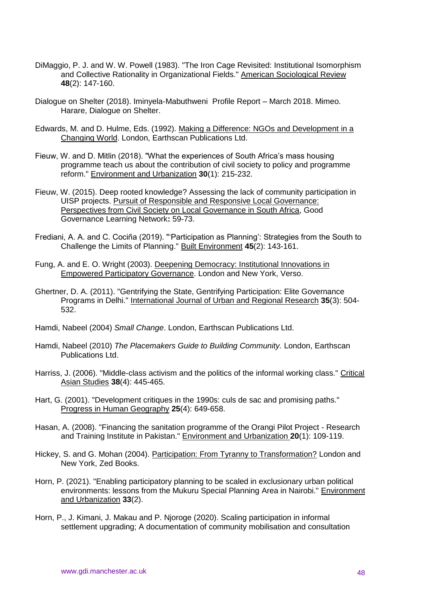- DiMaggio, P. J. and W. W. Powell (1983). "The Iron Cage Revisited: Institutional Isomorphism and Collective Rationality in Organizational Fields." American Sociological Review **48**(2): 147-160.
- Dialogue on Shelter (2018). Iminyela-Mabuthweni Profile Report March 2018. Mimeo. Harare, Dialogue on Shelter.
- Edwards, M. and D. Hulme, Eds. (1992). Making a Difference: NGOs and Development in a Changing World. London, Earthscan Publications Ltd.
- Fieuw, W. and D. Mitlin (2018). "What the experiences of South Africa's mass housing programme teach us about the contribution of civil society to policy and programme reform." Environment and Urbanization **30**(1): 215-232.
- Fieuw, W. (2015). Deep rooted knowledge? Assessing the lack of community participation in UISP projects. Pursuit of Responsible and Responsive Local Governance: Perspectives from Civil Society on Local Governance in South Africa, Good Governance Learning Network**:** 59-73.
- Frediani, A. A. and C. Cociña (2019). "'Participation as Planning': Strategies from the South to Challenge the Limits of Planning." Built Environment **45**(2): 143-161.
- Fung, A. and E. O. Wright (2003). Deepening Democracy: Institutional Innovations in Empowered Participatory Governance. London and New York, Verso.
- Ghertner, D. A. (2011). "Gentrifying the State, Gentrifying Participation: Elite Governance Programs in Delhi." International Journal of Urban and Regional Research **35**(3): 504- 532.
- Hamdi, Nabeel (2004) *Small Change*. London, Earthscan Publications Ltd.
- Hamdi, Nabeel (2010) *The Placemakers Guide to Building Community.* London, Earthscan Publications Ltd.
- Harriss, J. (2006). "Middle-class activism and the politics of the informal working class." Critical Asian Studies **38**(4): 445-465.
- Hart, G. (2001). "Development critiques in the 1990s: culs de sac and promising paths." Progress in Human Geography **25**(4): 649-658.
- Hasan, A. (2008). "Financing the sanitation programme of the Orangi Pilot Project Research and Training Institute in Pakistan." Environment and Urbanization **20**(1): 109-119.
- Hickey, S. and G. Mohan (2004). Participation: From Tyranny to Transformation? London and New York, Zed Books.
- Horn, P. (2021). "Enabling participatory planning to be scaled in exclusionary urban political environments: lessons from the Mukuru Special Planning Area in Nairobi." Environment and Urbanization **33**(2).
- Horn, P., J. Kimani, J. Makau and P. Njoroge (2020). Scaling participation in informal settlement upgrading; A documentation of community mobilisation and consultation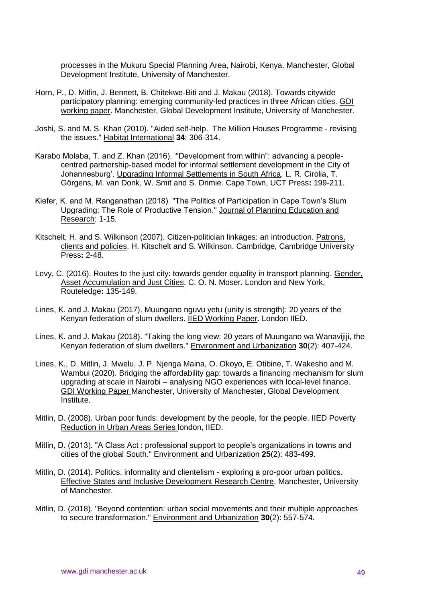processes in the Mukuru Special Planning Area, Nairobi, Kenya. Manchester, Global Development Institute, University of Manchester.

- Horn, P., D. Mitlin, J. Bennett, B. Chitekwe-Biti and J. Makau (2018). Towards citywide participatory planning: emerging community-led practices in three African cities. GDI working paper. Manchester, Global Development Institute, University of Manchester.
- Joshi, S. and M. S. Khan (2010). "Aided self-help. The Million Houses Programme revising the issues." Habitat International **34**: 306-314.
- Karabo Molaba, T. and Z. Khan (2016). '"Development from within": advancing a peoplecentred partnership-based model for informal settlement development in the City of Johannesburg'. Upgrading Informal Settlements in South Africa. L. R. Cirolia, T. Görgens, M. van Donk, W. Smit and S. Drimie. Cape Town, UCT Press**:** 199-211.
- Kiefer, K. and M. Ranganathan (2018). "The Politics of Participation in Cape Town's Slum Upgrading: The Role of Productive Tension." Journal of Planning Education and Research: 1-15.
- Kitschelt, H. and S. Wilkinson (2007). Citizen-politician linkages: an introduction. Patrons, clients and policies. H. Kitschelt and S. Wilkinson. Cambridge, Cambridge University Press**:** 2-48.
- Levy, C. (2016). Routes to the just city: towards gender equality in transport planning. Gender, Asset Accumulation and Just Cities. C. O. N. Moser. London and New York, Routeledge**:** 135-149.
- Lines, K. and J. Makau (2017). Muungano nguvu yetu (unity is strength): 20 years of the Kenyan federation of slum dwellers. IIED Working Paper. London IIED.
- Lines, K. and J. Makau (2018). "Taking the long view: 20 years of Muungano wa Wanavijiji, the Kenyan federation of slum dwellers." Environment and Urbanization **30**(2): 407-424.
- Lines, K., D. Mitlin, J. Mwelu, J. P. Njenga Maina, O. Okoyo, E. Otibine, T. Wakesho and M. Wambui (2020). Bridging the affordability gap: towards a financing mechanism for slum upgrading at scale in Nairobi – analysing NGO experiences with local-level finance. GDI Working Paper Manchester, University of Manchester, Global Development Institute.
- Mitlin, D. (2008). Urban poor funds: development by the people, for the people. IIED Poverty Reduction in Urban Areas Series london, IIED.
- Mitlin, D. (2013). "A Class Act : professional support to people's organizations in towns and cities of the global South." Environment and Urbanization **25**(2): 483-499.
- Mitlin, D. (2014). Politics, informality and clientelism exploring a pro-poor urban politics. Effective States and Inclusive Development Research Centre. Manchester, University of Manchester.
- Mitlin, D. (2018). "Beyond contention: urban social movements and their multiple approaches to secure transformation." Environment and Urbanization **30**(2): 557-574.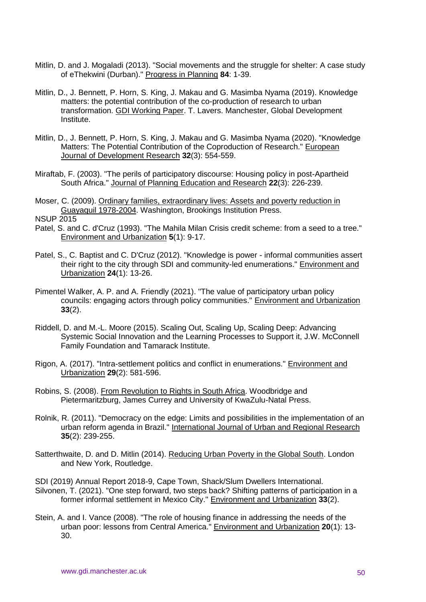- Mitlin, D. and J. Mogaladi (2013). "Social movements and the struggle for shelter: A case study of eThekwini (Durban)." Progress in Planning **84**: 1-39.
- Mitlin, D., J. Bennett, P. Horn, S. King, J. Makau and G. Masimba Nyama (2019). Knowledge matters: the potential contribution of the co-production of research to urban transformation. GDI Working Paper. T. Lavers. Manchester, Global Development Institute.
- Mitlin, D., J. Bennett, P. Horn, S. King, J. Makau and G. Masimba Nyama (2020). "Knowledge Matters: The Potential Contribution of the Coproduction of Research." European Journal of Development Research **32**(3): 554-559.
- Miraftab, F. (2003). "The perils of participatory discourse: Housing policy in post-Apartheid South Africa." Journal of Planning Education and Research **22**(3): 226-239.
- Moser, C. (2009). Ordinary families, extraordinary lives: Assets and poverty reduction in Guayaquil 1978-2004. Washington, Brookings Institution Press.
- **NSUP 2015**
- Patel, S. and C. d'Cruz (1993). "The Mahila Milan Crisis credit scheme: from a seed to a tree." Environment and Urbanization **5**(1): 9-17.
- Patel, S., C. Baptist and C. D'Cruz (2012). "Knowledge is power informal communities assert their right to the city through SDI and community-led enumerations." Environment and Urbanization **24**(1): 13-26.
- Pimentel Walker, A. P. and A. Friendly (2021). "The value of participatory urban policy councils: engaging actors through policy communities." Environment and Urbanization **33**(2).
- Riddell, D. and M.-L. Moore (2015). Scaling Out, Scaling Up, Scaling Deep: Advancing Systemic Social Innovation and the Learning Processes to Support it, J.W. McConnell Family Foundation and Tamarack Institute.
- Rigon, A. (2017). "Intra-settlement politics and conflict in enumerations." Environment and Urbanization **29**(2): 581-596.
- Robins, S. (2008). From Revolution to Rights in South Africa. Woodbridge and Pietermaritzburg, James Currey and University of KwaZulu-Natal Press.
- Rolnik, R. (2011). "Democracy on the edge: Limits and possibilities in the implementation of an urban reform agenda in Brazil." International Journal of Urban and Regional Research **35**(2): 239-255.
- Satterthwaite, D. and D. Mitlin (2014). Reducing Urban Poverty in the Global South. London and New York, Routledge.
- SDI (2019) Annual Report 2018-9, Cape Town, Shack/Slum Dwellers International.
- Silvonen, T. (2021). "One step forward, two steps back? Shifting patterns of participation in a former informal settlement in Mexico City." Environment and Urbanization **33**(2).
- Stein, A. and I. Vance (2008). "The role of housing finance in addressing the needs of the urban poor: lessons from Central America." Environment and Urbanization **20**(1): 13- 30.